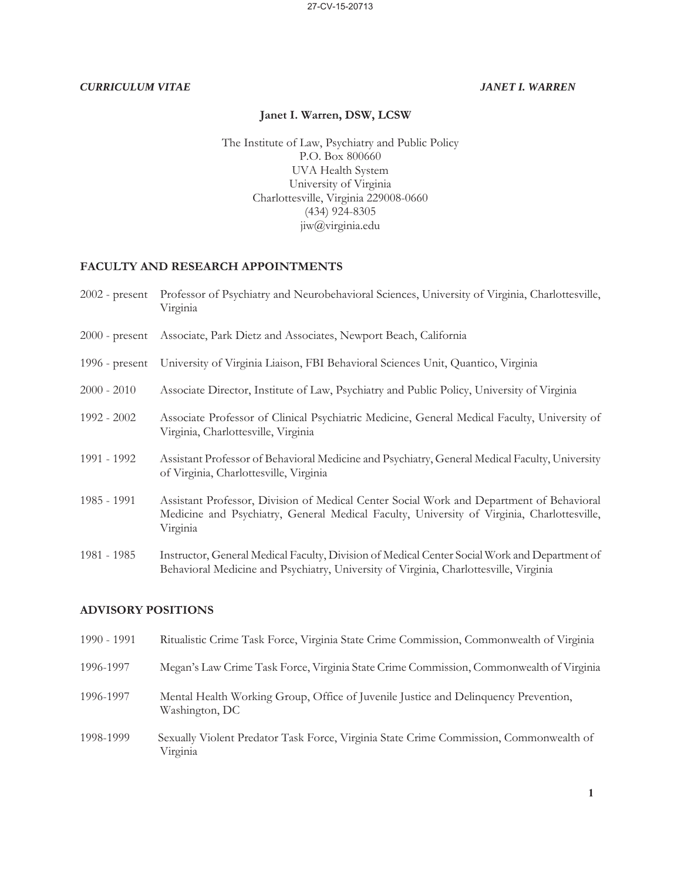## **Janet I. Warren, DSW, LCSW**

The Institute of Law, Psychiatry and Public Policy P.O. Box 800660 UVA Health System University of Virginia Charlottesville, Virginia 229008-0660  $(434)$  924-8305 jiw@virginia.edu

# **FACULTY AND RESEARCH APPOINTMENTS**

| $2002$ - present | Professor of Psychiatry and Neurobehavioral Sciences, University of Virginia, Charlottesville,<br>Virginia                                                                                         |
|------------------|----------------------------------------------------------------------------------------------------------------------------------------------------------------------------------------------------|
|                  | 2000 - present Associate, Park Dietz and Associates, Newport Beach, California                                                                                                                     |
| 1996 - $present$ | University of Virginia Liaison, FBI Behavioral Sciences Unit, Quantico, Virginia                                                                                                                   |
| $2000 - 2010$    | Associate Director, Institute of Law, Psychiatry and Public Policy, University of Virginia                                                                                                         |
| 1992 - 2002      | Associate Professor of Clinical Psychiatric Medicine, General Medical Faculty, University of<br>Virginia, Charlottesville, Virginia                                                                |
| 1991 - 1992      | Assistant Professor of Behavioral Medicine and Psychiatry, General Medical Faculty, University<br>of Virginia, Charlottesville, Virginia                                                           |
| 1985 - 1991      | Assistant Professor, Division of Medical Center Social Work and Department of Behavioral<br>Medicine and Psychiatry, General Medical Faculty, University of Virginia, Charlottesville,<br>Virginia |
| 1981 - 1985      | Instructor, General Medical Faculty, Division of Medical Center Social Work and Department of<br>Behavioral Medicine and Psychiatry, University of Virginia, Charlottesville, Virginia             |

# **ADVISORY POSITIONS**

| 1990 - 1991 | Ritualistic Crime Task Force, Virginia State Crime Commission, Commonwealth of Virginia               |
|-------------|-------------------------------------------------------------------------------------------------------|
| 1996-1997   | Megan's Law Crime Task Force, Virginia State Crime Commission, Commonwealth of Virginia               |
| 1996-1997   | Mental Health Working Group, Office of Juvenile Justice and Delinquency Prevention,<br>Washington, DC |
| 1998-1999   | Sexually Violent Predator Task Force, Virginia State Crime Commission, Commonwealth of<br>Virginia    |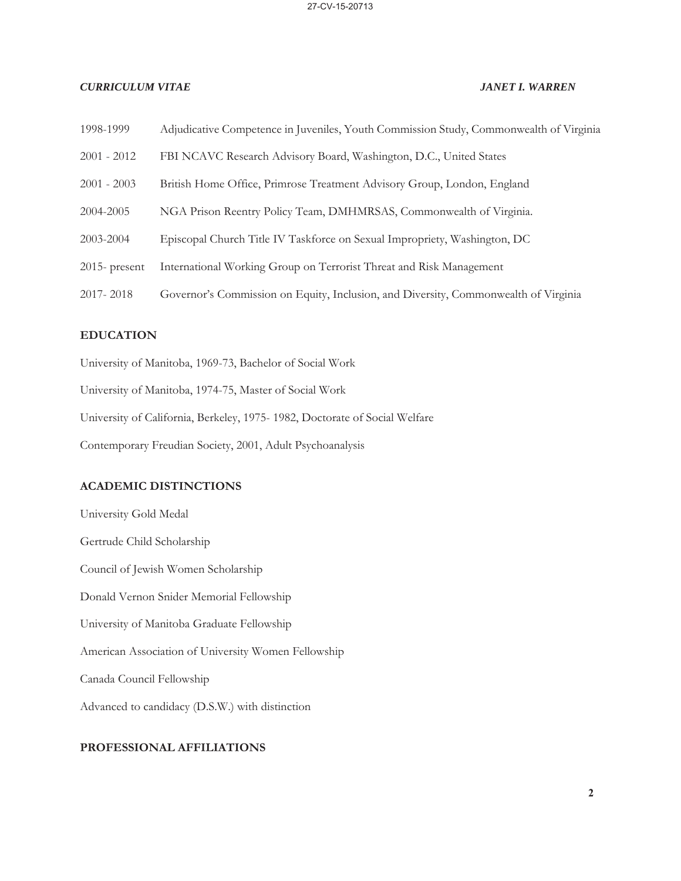| 1998-1999        | Adjudicative Competence in Juveniles, Youth Commission Study, Commonwealth of Virginia |
|------------------|----------------------------------------------------------------------------------------|
| $2001 - 2012$    | FBI NCAVC Research Advisory Board, Washington, D.C., United States                     |
| $2001 - 2003$    | British Home Office, Primrose Treatment Advisory Group, London, England                |
| 2004-2005        | NGA Prison Reentry Policy Team, DMHMRSAS, Commonwealth of Virginia.                    |
| 2003-2004        | Episcopal Church Title IV Taskforce on Sexual Impropriety, Washington, DC              |
| $2015$ - present | International Working Group on Terrorist Threat and Risk Management                    |
| 2017-2018        | Governor's Commission on Equity, Inclusion, and Diversity, Commonwealth of Virginia    |

### **EDUCATION**

University of Manitoba, 1969-73, Bachelor of Social Work

University of Manitoba, 1974-75, Master of Social Work

University of California, Berkeley, 1975- 1982, Doctorate of Social Welfare

Contemporary Freudian Society, 2001, Adult Psychoanalysis

# **ACADEMIC DISTINCTIONS**

University Gold Medal Gertrude Child Scholarship Council of Jewish Women Scholarship Donald Vernon Snider Memorial Fellowship University of Manitoba Graduate Fellowship American Association of University Women Fellowship Canada Council Fellowship Advanced to candidacy (D.S.W.) with distinction

## **PROFESSIONAL AFFILIATIONS**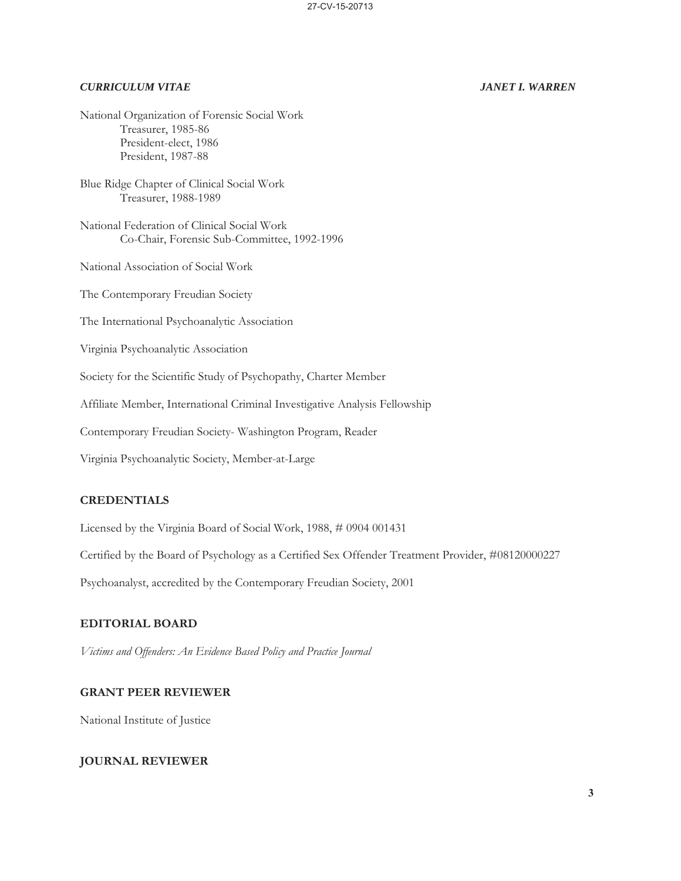National Organization of Forensic Social Work Treasurer, 1985-86 President-elect, 1986 President, 1987-88

Blue Ridge Chapter of Clinical Social Work Treasurer, 1988-1989

National Federation of Clinical Social Work Co-Chair, Forensic Sub-Committee, 1992-1996

National Association of Social Work

The Contemporary Freudian Society

The International Psychoanalytic Association

Virginia Psychoanalytic Association

Society for the Scientific Study of Psychopathy, Charter Member

Affiliate Member, International Criminal Investigative Analysis Fellowship

Contemporary Freudian Society- Washington Program, Reader

Virginia Psychoanalytic Society, Member-at-Large

### **CREDENTIALS**

Licensed by the Virginia Board of Social Work, 1988, # 0904 001431

Certified by the Board of Psychology as a Certified Sex Offender Treatment Provider, #08120000227

Psychoanalyst, accredited by the Contemporary Freudian Society, 2001

# **EDITORIAL BOARD**

*Victims and Offenders: An Evidence Based Policy and Practice Journal* 

### **GRANT PEER REVIEWER**

National Institute of Justice

## **JOURNAL REVIEWER**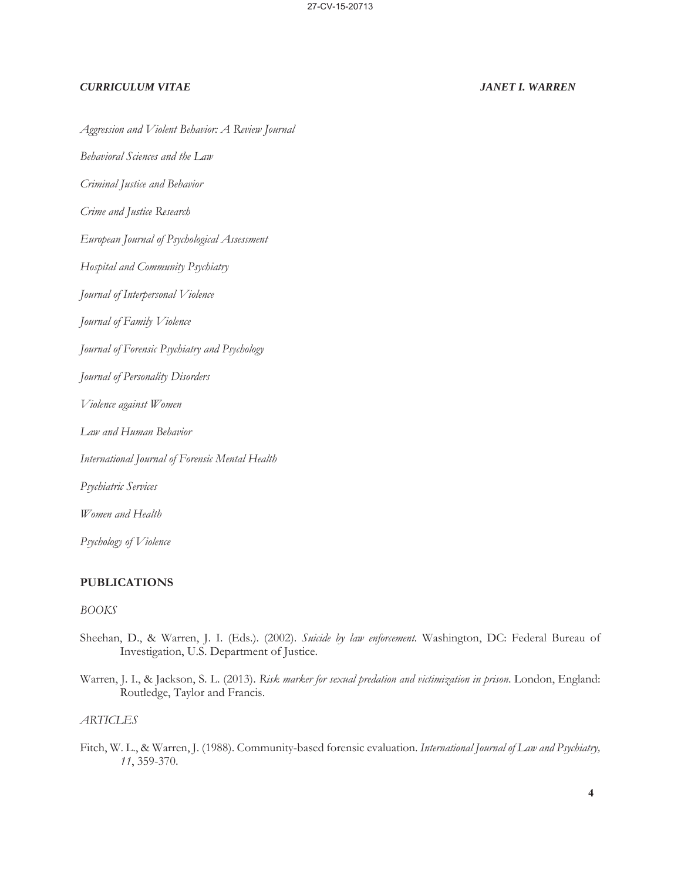*Aggression and Violent Behavior: A Review Journal* 

*Behavioral Sciences and the Law* 

*Criminal Justice and Behavior* 

*Crime and Justice Research* 

*European Journal of Psychological Assessment* 

*Hospital and Community Psychiatry* 

*Journal of Interpersonal Violence* 

*Journal of Family Violence* 

*Journal of Forensic Psychiatry and Psychology* 

*Journal of Personality Disorders* 

*Violence against Women* 

*Law and Human Behavior* 

*International Journal of Forensic Mental Health* 

*Psychiatric Services* 

*Women and Health* 

*Psychology of Violence* 

### **PUBLICATIONS**

### *BOOKS*

- Sheehan, D., & Warren, J. I. (Eds.). (2002). *Suicide by law enforcement.* Washington, DC: Federal Bureau of Investigation, U.S. Department of Justice.
- Warren, J. I., & Jackson, S. L. (2013). *Risk marker for sexual predation and victimization in prison*. London, England: Routledge, Taylor and Francis.

### *ARTICLES*

Fitch, W. L., & Warren, J. (1988). Community-based forensic evaluation. *International Journal of Law and Psychiatry, 11*, 359-370.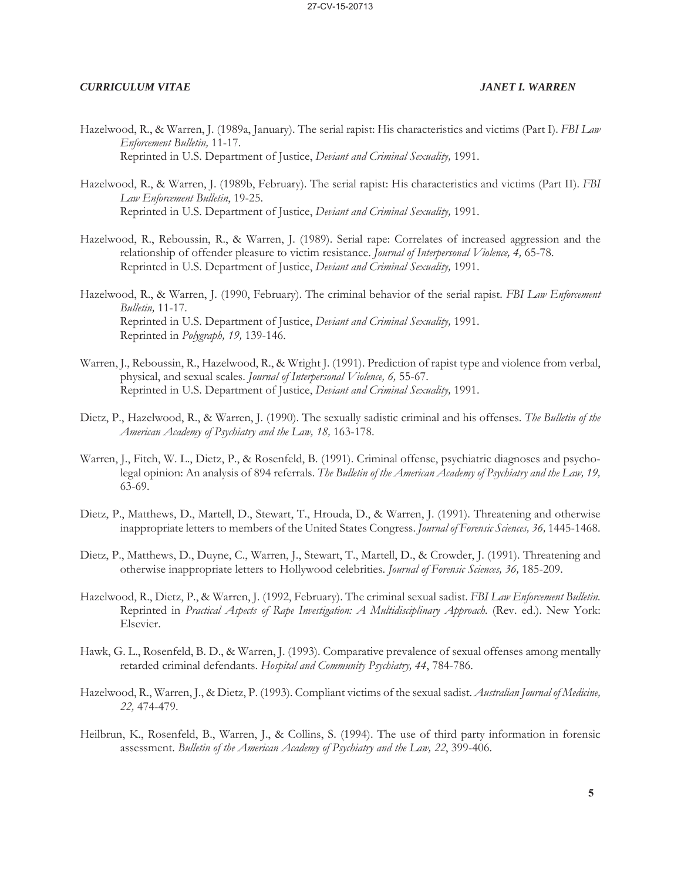- Hazelwood, R., & Warren, J. (1989a, January). The serial rapist: His characteristics and victims (Part I). *FBI Law Enforcement Bulletin,* 11-17. Reprinted in U.S. Department of Justice, *Deviant and Criminal Sexuality,* 1991.
- Hazelwood, R., & Warren, J. (1989b, February). The serial rapist: His characteristics and victims (Part II). *FBI Law Enforcement Bulletin*, 19-25. Reprinted in U.S. Department of Justice, *Deviant and Criminal Sexuality,* 1991.
- Hazelwood, R., Reboussin, R., & Warren, J. (1989). Serial rape: Correlates of increased aggression and the relationship of offender pleasure to victim resistance. *Journal of Interpersonal Violence, 4,* 65-78. Reprinted in U.S. Department of Justice, *Deviant and Criminal Sexuality,* 1991.
- Hazelwood, R., & Warren, J. (1990, February). The criminal behavior of the serial rapist. *FBI Law Enforcement Bulletin,* 11-17. Reprinted in U.S. Department of Justice, *Deviant and Criminal Sexuality,* 1991. Reprinted in *Polygraph, 19,* 139-146.
- Warren, J., Reboussin, R., Hazelwood, R., & Wright J. (1991). Prediction of rapist type and violence from verbal, physical, and sexual scales. *Journal of Interpersonal Violence, 6,* 55-67. Reprinted in U.S. Department of Justice, *Deviant and Criminal Sexuality,* 1991.
- Dietz, P., Hazelwood, R., & Warren, J. (1990). The sexually sadistic criminal and his offenses. *The Bulletin of the American Academy of Psychiatry and the Law, 18,* 163-178.
- Warren, J., Fitch, W. L., Dietz, P., & Rosenfeld, B. (1991). Criminal offense, psychiatric diagnoses and psycholegal opinion: An analysis of 894 referrals. *The Bulletin of the American Academy of Psychiatry and the Law, 19,*  63-69.
- Dietz, P., Matthews, D., Martell, D., Stewart, T., Hrouda, D., & Warren, J. (1991). Threatening and otherwise inappropriate letters to members of the United States Congress. *Journal of Forensic Sciences, 36,* 1445-1468.
- Dietz, P., Matthews, D., Duyne, C., Warren, J., Stewart, T., Martell, D., & Crowder, J. (1991). Threatening and otherwise inappropriate letters to Hollywood celebrities. *Journal of Forensic Sciences, 36,* 185-209.
- Hazelwood, R., Dietz, P., & Warren, J. (1992, February). The criminal sexual sadist. *FBI Law Enforcement Bulletin.*  Reprinted in *Practical Aspects of Rape Investigation: A Multidisciplinary Approach.* (Rev. ed.). New York: Elsevier.
- Hawk, G. L., Rosenfeld, B. D., & Warren, J. (1993). Comparative prevalence of sexual offenses among mentally retarded criminal defendants. *Hospital and Community Psychiatry, 44*, 784-786.
- Hazelwood, R., Warren, J., & Dietz, P. (1993). Compliant victims of the sexual sadist. *Australian Journal of Medicine, 22,* 474-479.
- Heilbrun, K., Rosenfeld, B., Warren, J., & Collins, S. (1994). The use of third party information in forensic assessment. *Bulletin of the American Academy of Psychiatry and the Law, 22*, 399-406.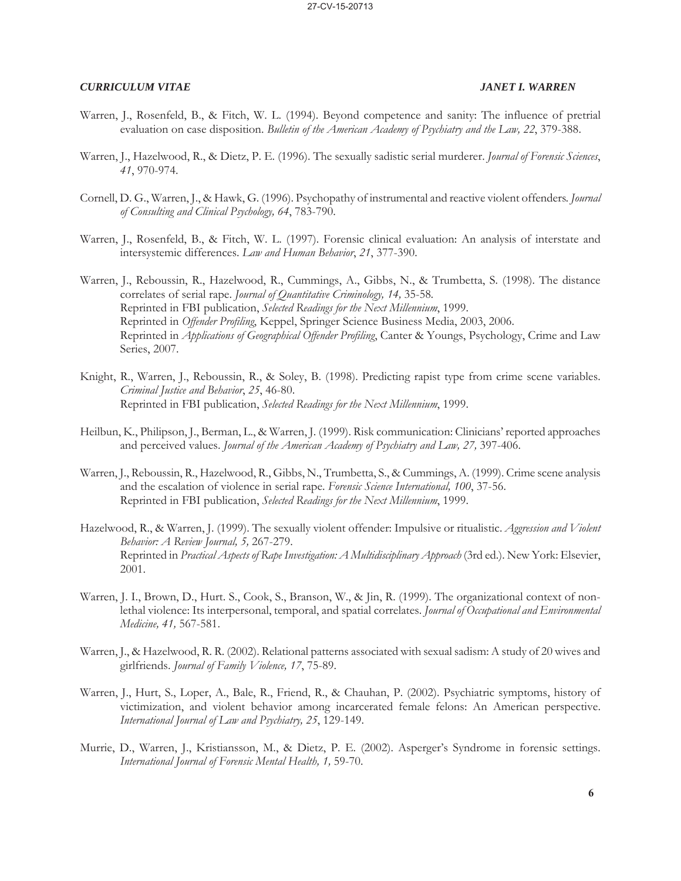- Warren, J., Rosenfeld, B., & Fitch, W. L. (1994). Beyond competence and sanity: The influence of pretrial evaluation on case disposition. *Bulletin of the American Academy of Psychiatry and the Law, 22*, 379-388.
- Warren, J., Hazelwood, R., & Dietz, P. E. (1996). The sexually sadistic serial murderer. *Journal of Forensic Sciences*, *41*, 970-974.
- Cornell, D. G., Warren, J., & Hawk, G. (1996). Psychopathy of instrumental and reactive violent offenders*. Journal of Consulting and Clinical Psychology, 64*, 783-790.
- Warren, J., Rosenfeld, B., & Fitch, W. L. (1997). Forensic clinical evaluation: An analysis of interstate and intersystemic differences. *Law and Human Behavior*, *21*, 377-390.
- Warren, J., Reboussin, R., Hazelwood, R., Cummings, A., Gibbs, N., & Trumbetta, S. (1998). The distance correlates of serial rape. *Journal of Quantitative Criminology, 14,* 35-58*.* Reprinted in FBI publication, *Selected Readings for the Next Millennium*, 1999. Reprinted in *Offender Profiling*, Keppel, Springer Science Business Media, 2003, 2006. Reprinted in *Applications of Geographical Offender Profiling*, Canter & Youngs, Psychology, Crime and Law Series, 2007.
- Knight, R., Warren, J., Reboussin, R., & Soley, B. (1998). Predicting rapist type from crime scene variables. *Criminal Justice and Behavior*, *25*, 46-80. Reprinted in FBI publication, *Selected Readings for the Next Millennium*, 1999.
- Heilbun, K., Philipson, J., Berman, L., & Warren, J. (1999). Risk communication: Clinicians' reported approaches and perceived values. *Journal of the American Academy of Psychiatry and Law, 27,* 397-406.
- Warren, J., Reboussin, R., Hazelwood, R., Gibbs, N., Trumbetta, S., & Cummings, A. (1999). Crime scene analysis and the escalation of violence in serial rape. *Forensic Science International, 100*, 37-56. Reprinted in FBI publication, *Selected Readings for the Next Millennium*, 1999.
- Hazelwood, R., & Warren, J. (1999). The sexually violent offender: Impulsive or ritualistic. *Aggression and Violent Behavior: A Review Journal, 5,* 267-279. Reprinted in *Practical Aspects of Rape Investigation: A Multidisciplinary Approach* (3rd ed.). New York: Elsevier, 2001.
- Warren, J. I., Brown, D., Hurt. S., Cook, S., Branson, W., & Jin, R. (1999). The organizational context of nonlethal violence: Its interpersonal, temporal, and spatial correlates. *Journal of Occupational and Environmental Medicine, 41,* 567-581.
- Warren, J., & Hazelwood, R. R. (2002). Relational patterns associated with sexual sadism: A study of 20 wives and girlfriends. *Journal of Family Violence, 17*, 75-89.
- Warren, J., Hurt, S., Loper, A., Bale, R., Friend, R., & Chauhan, P. (2002). Psychiatric symptoms, history of victimization, and violent behavior among incarcerated female felons: An American perspective. *International Journal of Law and Psychiatry, 25*, 129-149.
- Murrie, D., Warren, J., Kristiansson, M., & Dietz, P. E. (2002). Asperger's Syndrome in forensic settings. *International Journal of Forensic Mental Health, 1,* 59-70.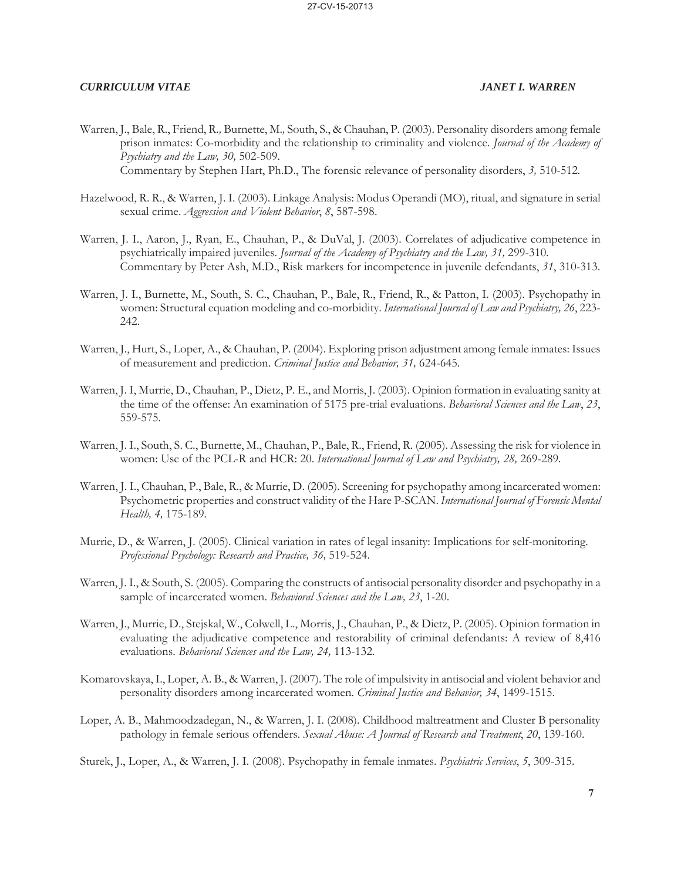- Warren, J., Bale, R., Friend, R.*,* Burnette, M.*,* South, S., & Chauhan, P. (2003). Personality disorders among female prison inmates: Co-morbidity and the relationship to criminality and violence. *Journal of the Academy of Psychiatry and the Law, 30,* 502-509. Commentary by Stephen Hart, Ph.D., The forensic relevance of personality disorders, *3,* 510-512*.*
- Hazelwood, R. R., & Warren, J. I. (2003). Linkage Analysis: Modus Operandi (MO), ritual, and signature in serial sexual crime. *Aggression and Violent Behavior*, *8*, 587-598.
- Warren, J. I., Aaron, J., Ryan, E., Chauhan, P., & DuVal, J. (2003). Correlates of adjudicative competence in psychiatrically impaired juveniles. *Journal of the Academy of Psychiatry and the Law, 31, 299-310*. Commentary by Peter Ash, M.D., Risk markers for incompetence in juvenile defendants, *31*, 310-313.
- Warren, J. I., Burnette, M., South, S. C., Chauhan, P., Bale, R., Friend, R., & Patton, I. (2003). Psychopathy in women: Structural equation modeling and co-morbidity. *International Journal of Law and Psychiatry, 26*, 223- 242.
- Warren, J., Hurt, S., Loper, A., & Chauhan, P. (2004). Exploring prison adjustment among female inmates: Issues of measurement and prediction. *Criminal Justice and Behavior, 31,* 624-645*.*
- Warren, J. I, Murrie, D., Chauhan, P., Dietz, P. E., and Morris, J. (2003). Opinion formation in evaluating sanity at the time of the offense: An examination of 5175 pre-trial evaluations. *Behavioral Sciences and the Law*, *23*, 559-575.
- Warren, J. I., South, S. C., Burnette, M., Chauhan, P., Bale, R., Friend, R. (2005). Assessing the risk for violence in women: Use of the PCL-R and HCR: 20. *International Journal of Law and Psychiatry, 28,* 269-289*.*
- Warren, J. I., Chauhan, P., Bale, R., & Murrie, D. (2005). Screening for psychopathy among incarcerated women: Psychometric properties and construct validity of the Hare P-SCAN. *International Journal of Forensic Mental Health, 4,* 175-189*.*
- Murrie, D., & Warren, J. (2005). Clinical variation in rates of legal insanity: Implications for self-monitoring. *Professional Psychology: Research and Practice, 36,* 519-524.
- Warren, J. I., & South, S. (2005). Comparing the constructs of antisocial personality disorder and psychopathy in a sample of incarcerated women. *Behavioral Sciences and the Law, 23*, 1-20.
- Warren, J., Murrie, D., Stejskal, W., Colwell, L., Morris, J., Chauhan, P., & Dietz, P. (2005). Opinion formation in evaluating the adjudicative competence and restorability of criminal defendants: A review of 8,416 evaluations. *Behavioral Sciences and the Law, 24,* 113-132*.*
- Komarovskaya, I., Loper, A. B., & Warren, J. (2007). The role of impulsivity in antisocial and violent behavior and personality disorders among incarcerated women. *Criminal Justice and Behavior, 34*, 1499-1515.
- Loper, A. B., Mahmoodzadegan, N., & Warren, J. I. (2008). Childhood maltreatment and Cluster B personality pathology in female serious offenders. *Sexual Abuse: A Journal of Research and Treatment*, *20*, 139-160.
- Sturek, J., Loper, A., & Warren, J. I. (2008). Psychopathy in female inmates. *Psychiatric Services*, *5*, 309-315.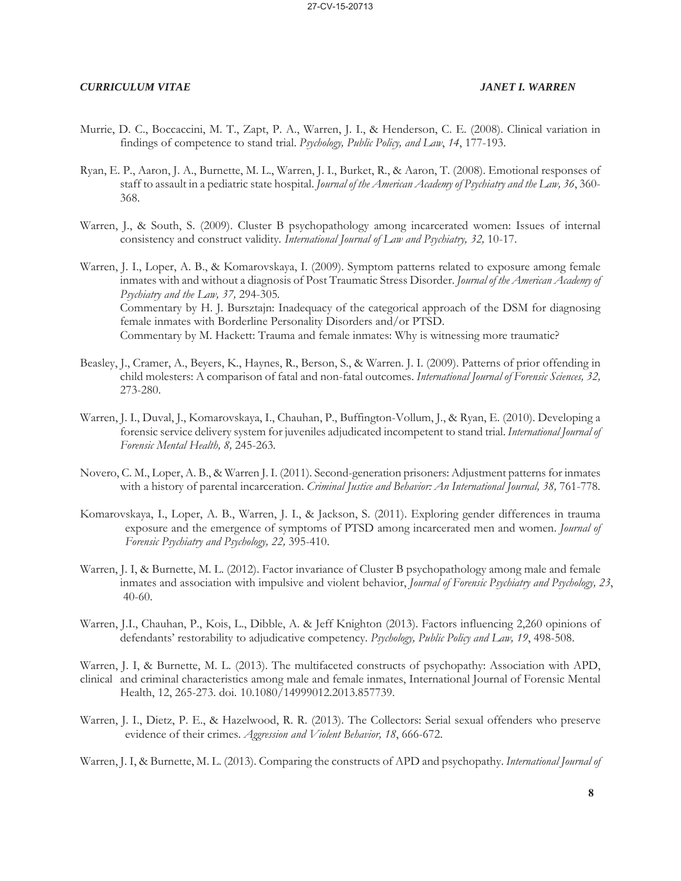- Murrie, D. C., Boccaccini, M. T., Zapt, P. A., Warren, J. I., & Henderson, C. E. (2008). Clinical variation in findings of competence to stand trial. *Psychology, Public Policy, and Law*, *14*, 177-193.
- Ryan, E. P., Aaron, J. A., Burnette, M. L., Warren, J. I., Burket, R., & Aaron, T. (2008). Emotional responses of staff to assault in a pediatric state hospital. *Journal of the American Academy of Psychiatry and the Law, 36*, 360- 368.
- Warren, J., & South, S. (2009). Cluster B psychopathology among incarcerated women: Issues of internal consistency and construct validity*. International Journal of Law and Psychiatry, 32,* 10-17.
- Warren, J. I., Loper, A. B., & Komarovskaya, I. (2009). Symptom patterns related to exposure among female inmates with and without a diagnosis of Post Traumatic Stress Disorder. *Journal of the American Academy of Psychiatry and the Law, 37,* 294-305*.* Commentary by H. J. Bursztajn: Inadequacy of the categorical approach of the DSM for diagnosing female inmates with Borderline Personality Disorders and/or PTSD. Commentary by M. Hackett: Trauma and female inmates: Why is witnessing more traumatic?
- Beasley, J., Cramer, A., Beyers, K., Haynes, R., Berson, S., & Warren. J. I. (2009). Patterns of prior offending in child molesters: A comparison of fatal and non-fatal outcomes. *International Journal of Forensic Sciences, 32,*  273-280.
- Warren, J. I., Duval, J., Komarovskaya, I., Chauhan, P., Buffington-Vollum, J., & Ryan, E. (2010). Developing a forensic service delivery system for juveniles adjudicated incompetent to stand trial. *International Journal of Forensic Mental Health, 8,* 245-263*.*
- Novero, C. M., Loper, A. B., & Warren J. I. (2011). Second-generation prisoners: Adjustment patterns for inmates with a history of parental incarceration. *Criminal Justice and Behavior: An International Journal, 38,* 761-778.
- Komarovskaya, I., Loper, A. B., Warren, J. I., & Jackson, S. (2011). Exploring gender differences in trauma exposure and the emergence of symptoms of PTSD among incarcerated men and women. *Journal of Forensic Psychiatry and Psychology, 22,* 395-410.
- Warren, J. I, & Burnette, M. L. (2012). Factor invariance of Cluster B psychopathology among male and female inmates and association with impulsive and violent behavior, *Journal of Forensic Psychiatry and Psychology, 23*, 40-60.
- Warren, J.I., Chauhan, P., Kois, L., Dibble, A. & Jeff Knighton (2013). Factors influencing 2,260 opinions of defendants' restorability to adjudicative competency. *Psychology, Public Policy and Law, 19*, 498-508.
- Warren, J. I, & Burnette, M. L. (2013). The multifaceted constructs of psychopathy: Association with APD, clinical and criminal characteristics among male and female inmates, International Journal of Forensic Mental Health, 12, 265-273. doi. 10.1080/14999012.2013.857739.
- Warren, J. I., Dietz, P. E., & Hazelwood, R. R. (2013). The Collectors: Serial sexual offenders who preserve evidence of their crimes. *Aggression and Violent Behavior, 18*, 666-672.

Warren, J. I, & Burnette, M. L. (2013). Comparing the constructs of APD and psychopathy. *International Journal of*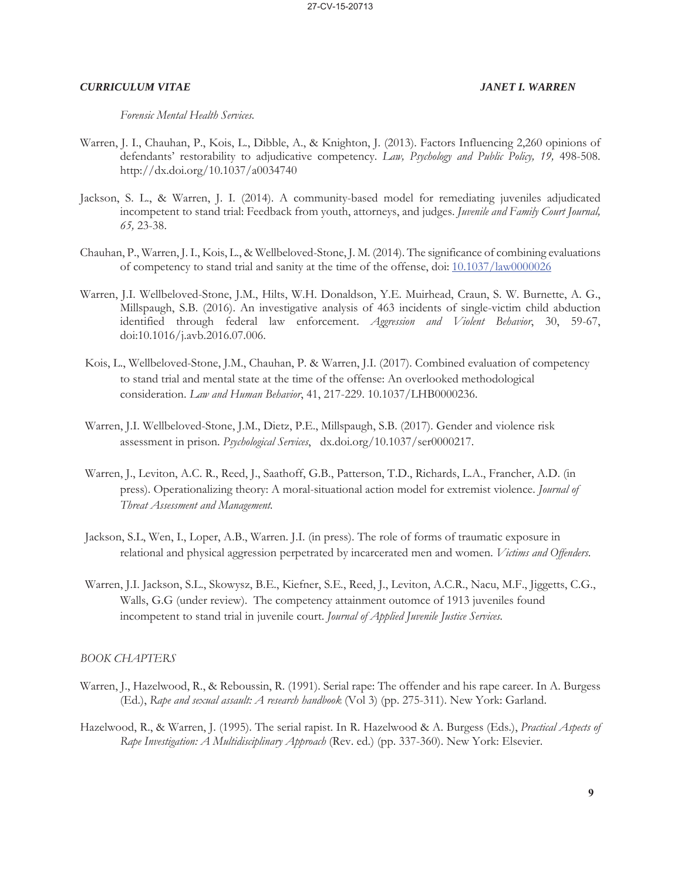*Forensic Mental Health Services*.

- Warren, J. I., Chauhan, P., Kois, L., Dibble, A., & Knighton, J. (2013). Factors Influencing 2,260 opinions of defendants' restorability to adjudicative competency. *Law, Psychology and Public Policy, 19,* 498-508. http://dx.doi.org/10.1037/a0034740
- Jackson, S. L., & Warren, J. I. (2014). A community-based model for remediating juveniles adjudicated incompetent to stand trial: Feedback from youth, attorneys, and judges. *Juvenile and Family Court Journal, 65,* 23-38.
- Chauhan, P., Warren, J. I., Kois, L., & Wellbeloved-Stone, J. M. (2014). The significance of combining evaluations of competency to stand trial and sanity at the time of the offense, doi: 10.1037/law0000026
- Warren, J.I. Wellbeloved-Stone, J.M., Hilts, W.H. Donaldson, Y.E. Muirhead, Craun, S. W. Burnette, A. G., Millspaugh, S.B. (2016). An investigative analysis of 463 incidents of single-victim child abduction identified through federal law enforcement. *Aggression and Violent Behavior*, 30, 59-67, doi:10.1016/j.avb.2016.07.006.
- Kois, L., Wellbeloved-Stone, J.M., Chauhan, P. & Warren, J.I. (2017). Combined evaluation of competency to stand trial and mental state at the time of the offense: An overlooked methodological consideration. *Law and Human Behavior*, 41, 217-229. 10.1037/LHB0000236.
- Warren, J.I. Wellbeloved-Stone, J.M., Dietz, P.E., Millspaugh, S.B. (2017). Gender and violence risk assessment in prison. *Psychological Services*, dx.doi.org/10.1037/ser0000217.
- Warren, J., Leviton, A.C. R., Reed, J., Saathoff, G.B., Patterson, T.D., Richards, L.A., Francher, A.D. (in press). Operationalizing theory: A moral-situational action model for extremist violence. *Journal of Threat Assessment and Management.*
- Jackson, S.L, Wen, I., Loper, A.B., Warren. J.I. (in press). The role of forms of traumatic exposure in relational and physical aggression perpetrated by incarcerated men and women. *Victims and Offenders*.
- Warren, J.I. Jackson, S.L., Skowysz, B.E., Kiefner, S.E., Reed, J., Leviton, A.C.R., Nacu, M.F., Jiggetts, C.G., Walls, G.G (under review). The competency attainment outomce of 1913 juveniles found incompetent to stand trial in juvenile court. *Journal of Applied Juvenile Justice Services.*

### *BOOK CHAPTERS*

- Warren, J., Hazelwood, R., & Reboussin, R. (1991). Serial rape: The offender and his rape career. In A. Burgess (Ed.), *Rape and sexual assault: A research handbook* (Vol 3) (pp. 275-311). New York: Garland.
- Hazelwood, R., & Warren, J. (1995). The serial rapist. In R. Hazelwood & A. Burgess (Eds.), *Practical Aspects of Rape Investigation: A Multidisciplinary Approach* (Rev. ed.) (pp. 337-360). New York: Elsevier.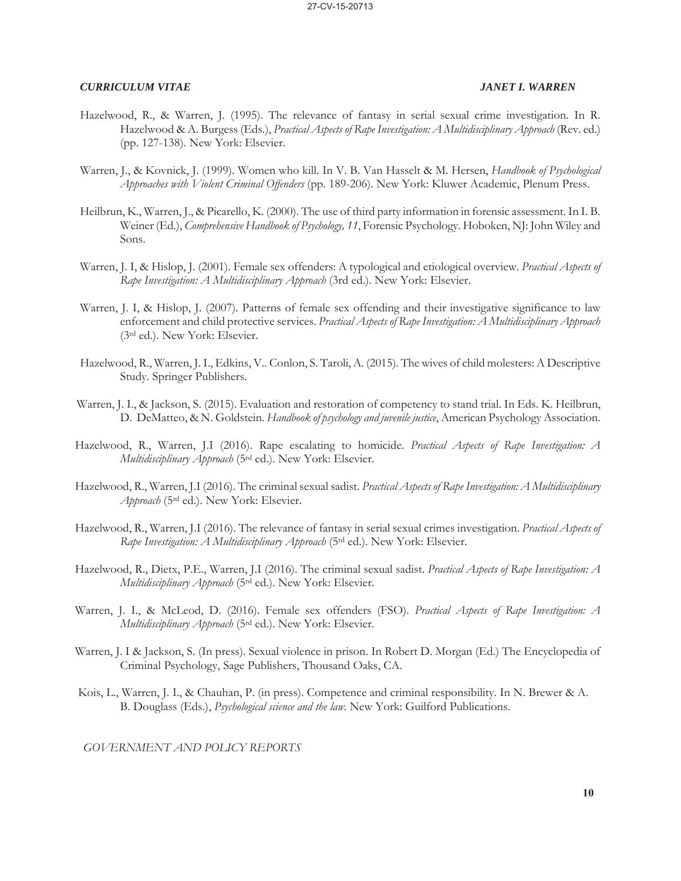- Hazelwood, R., & Warren, J. (1995). The relevance of fantasy in serial sexual crime investigation. In R. Hazelwood & A. Burgess (Eds.), *Practical Aspects of Rape Investigation: A Multidisciplinary Approach* (Rev. ed.) (pp. 127-138). New York: Elsevier.
- Warren, J., & Kovnick, J. (1999). Women who kill. In V. B. Van Hasselt & M. Hersen, *Handbook of Psychological Approaches with Violent Criminal Offenders* (pp. 189-206). New York: Kluwer Academic, Plenum Press.
- Heilbrun, K., Warren, J., & Picarello, K. (2000). The use of third party information in forensic assessment. In I. B. Weiner (Ed.), *Comprehensive Handbook of Psychology, 11*, Forensic Psychology. Hoboken, NJ: John Wiley and Sons.
- Warren, J. I, & Hislop, J. (2001). Female sex offenders: A typological and etiological overview. *Practical Aspects of Rape Investigation: A Multidisciplinary Approach* (3rd ed.). New York: Elsevier.
- Warren, J. I, & Hislop, J. (2007). Patterns of female sex offending and their investigative significance to law enforcement and child protective services. *Practical Aspects of Rape Investigation: A Multidisciplinary Approach* (3rd ed.). New York: Elsevier.
- Hazelwood, R., Warren, J. I., Edkins, V.. Conlon, S. Taroli, A. (2015). The wives of child molesters: A Descriptive Study. Springer Publishers.
- Warren, J. I., & Jackson, S. (2015). Evaluation and restoration of competency to stand trial. In Eds. K. Heilbrun, D. DeMatteo, & N. Goldstein. *Handbook of psychology and juvenile justice*, American Psychology Association.
- Hazelwood, R., Warren, J.I (2016). Rape escalating to homicide. *Practical Aspects of Rape Investigation: A Multidisciplinary Approach* (5rd ed.). New York: Elsevier.
- Hazelwood, R., Warren, J.I (2016). The criminal sexual sadist. *Practical Aspects of Rape Investigation: A Multidisciplinary Approach* (5rd ed.). New York: Elsevier.
- Hazelwood, R., Warren, J.I (2016). The relevance of fantasy in serial sexual crimes investigation. *Practical Aspects of Rape Investigation: A Multidisciplinary Approach* (5rd ed.). New York: Elsevier.
- Hazelwood, R., Dietx, P.E., Warren, J.I (2016). The criminal sexual sadist. *Practical Aspects of Rape Investigation: A Multidisciplinary Approach* (5rd ed.). New York: Elsevier.
- Warren, J. I., & McLeod, D. (2016). Female sex offenders (FSO). *Practical Aspects of Rape Investigation: A Multidisciplinary Approach* (5rd ed.). New York: Elsevier.
- Warren, J. I & Jackson, S. (In press). Sexual violence in prison. In Robert D. Morgan (Ed.) The Encyclopedia of Criminal Psychology, Sage Publishers, Thousand Oaks, CA.
- Kois, L., Warren, J. I., & Chauhan, P. (in press). Competence and criminal responsibility. In N. Brewer & A. B. Douglass (Eds.), *Psychological science and the law.* New York: Guilford Publications.

*GOVERNMENT AND POLICY REPORTS*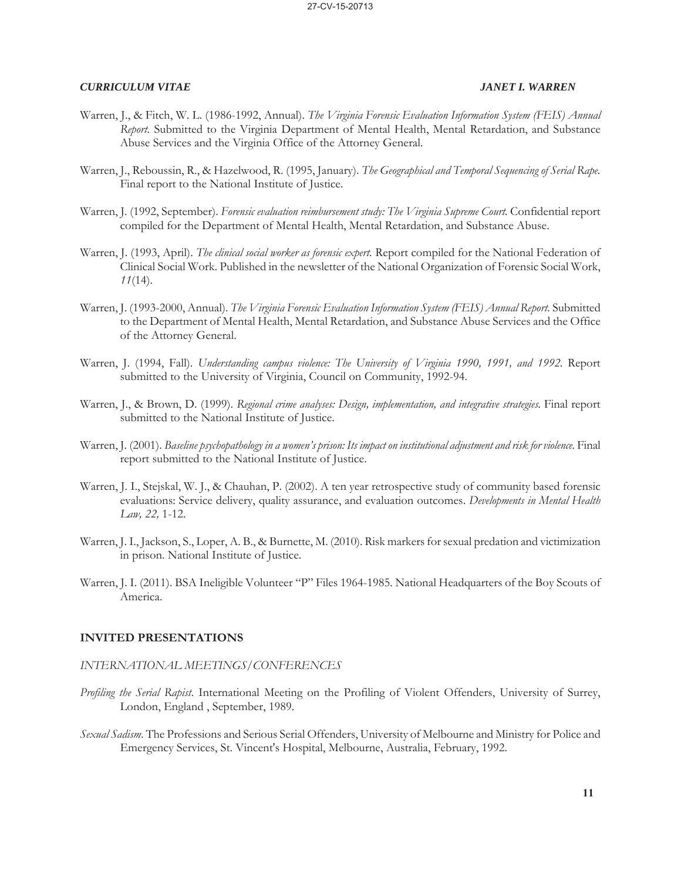- Warren, J., & Fitch, W. L. (1986-1992, Annual). *The Virginia Forensic Evaluation Information System (FEIS) Annual Report.* Submitted to the Virginia Department of Mental Health, Mental Retardation, and Substance Abuse Services and the Virginia Office of the Attorney General.
- Warren, J., Reboussin, R., & Hazelwood, R. (1995, January). *The Geographical and Temporal Sequencing of Serial Rape.* Final report to the National Institute of Justice.
- Warren, J. (1992, September). *Forensic evaluation reimbursement study: The Virginia Supreme Court.* Confidential report compiled for the Department of Mental Health, Mental Retardation, and Substance Abuse.
- Warren, J. (1993, April). *The clinical social worker as forensic expert.* Report compiled for the National Federation of Clinical Social Work. Published in the newsletter of the National Organization of Forensic Social Work, *11*(14).
- Warren, J. (1993-2000, Annual). *The Virginia Forensic Evaluation Information System (FEIS) Annual Report.* Submitted to the Department of Mental Health, Mental Retardation, and Substance Abuse Services and the Office of the Attorney General.
- Warren, J. (1994, Fall). *Understanding campus violence: The University of Virginia 1990, 1991, and 1992.* Report submitted to the University of Virginia, Council on Community, 1992-94.
- Warren, J., & Brown, D. (1999). *Regional crime analyses: Design, implementation, and integrative strategies*. Final report submitted to the National Institute of Justice.
- Warren, J. (2001). *Baseline psychopathology in a women's prison: Its impact on institutional adjustment and risk for violence.* Final report submitted to the National Institute of Justice.
- Warren, J. I., Stejskal, W. J., & Chauhan, P. (2002). A ten year retrospective study of community based forensic evaluations: Service delivery, quality assurance, and evaluation outcomes. *Developments in Mental Health Law, 22,* 1-12.
- Warren, J. I., Jackson, S., Loper, A. B., & Burnette, M. (2010). Risk markers for sexual predation and victimization in prison. National Institute of Justice.
- Warren, J. I. (2011). BSA Ineligible Volunteer "P" Files 1964-1985. National Headquarters of the Boy Scouts of America.

### **INVITED PRESENTATIONS**

### *INTERNATIONAL MEETINGS/CONFERENCES*

- *Profiling the Serial Rapist*. International Meeting on the Profiling of Violent Offenders, University of Surrey, London, England , September, 1989.
- *Sexual Sadism*. The Professions and Serious Serial Offenders, University of Melbourne and Ministry for Police and Emergency Services, St. Vincent's Hospital, Melbourne, Australia, February, 1992.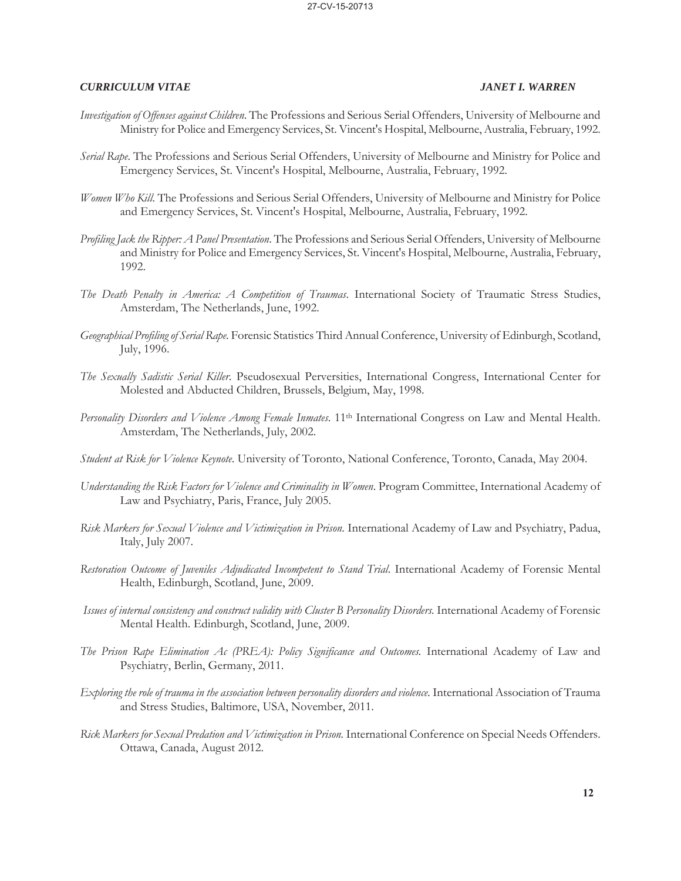- *Investigation of Offenses against Children*. The Professions and Serious Serial Offenders, University of Melbourne and Ministry for Police and Emergency Services, St. Vincent's Hospital, Melbourne, Australia, February, 1992.
- *Serial Rape*. The Professions and Serious Serial Offenders, University of Melbourne and Ministry for Police and Emergency Services, St. Vincent's Hospital, Melbourne, Australia, February, 1992.
- *Women Who Kill*. The Professions and Serious Serial Offenders, University of Melbourne and Ministry for Police and Emergency Services, St. Vincent's Hospital, Melbourne, Australia, February, 1992.
- *Profiling Jack the Ripper: A Panel Presentation*. The Professions and Serious Serial Offenders, University of Melbourne and Ministry for Police and Emergency Services, St. Vincent's Hospital, Melbourne, Australia, February, 1992.
- *The Death Penalty in America: A Competition of Traumas*. International Society of Traumatic Stress Studies, Amsterdam, The Netherlands, June, 1992.
- *Geographical Profiling of Serial Rape*. Forensic Statistics Third Annual Conference, University of Edinburgh, Scotland, July, 1996.
- *The Sexually Sadistic Serial Killer*. Pseudosexual Perversities, International Congress, International Center for Molested and Abducted Children, Brussels, Belgium, May, 1998.
- *Personality Disorders and Violence Among Female Inmates*. 11th International Congress on Law and Mental Health. Amsterdam, The Netherlands, July, 2002.
- *Student at Risk for Violence Keynote*. University of Toronto, National Conference, Toronto, Canada, May 2004.
- *Understanding the Risk Factors for Violence and Criminality in Women*. Program Committee, International Academy of Law and Psychiatry, Paris, France, July 2005.
- *Risk Markers for Sexual Violence and Victimization in Prison*. International Academy of Law and Psychiatry, Padua, Italy, July 2007.
- *Restoration Outcome of Juveniles Adjudicated Incompetent to Stand Trial*. International Academy of Forensic Mental Health, Edinburgh, Scotland, June, 2009.
- *Issues of internal consistency and construct validity with Cluster B Personality Disorders.* International Academy of Forensic Mental Health. Edinburgh, Scotland, June, 2009.
- *The Prison Rape Elimination Ac (PREA): Policy Significance and Outcomes.* International Academy of Law and Psychiatry, Berlin, Germany, 2011.
- *Exploring the role of trauma in the association between personality disorders and violence.* International Association of Trauma and Stress Studies, Baltimore, USA, November, 2011.
- *Rick Markers for Sexual Predation and Victimization in Prison.* International Conference on Special Needs Offenders. Ottawa, Canada, August 2012.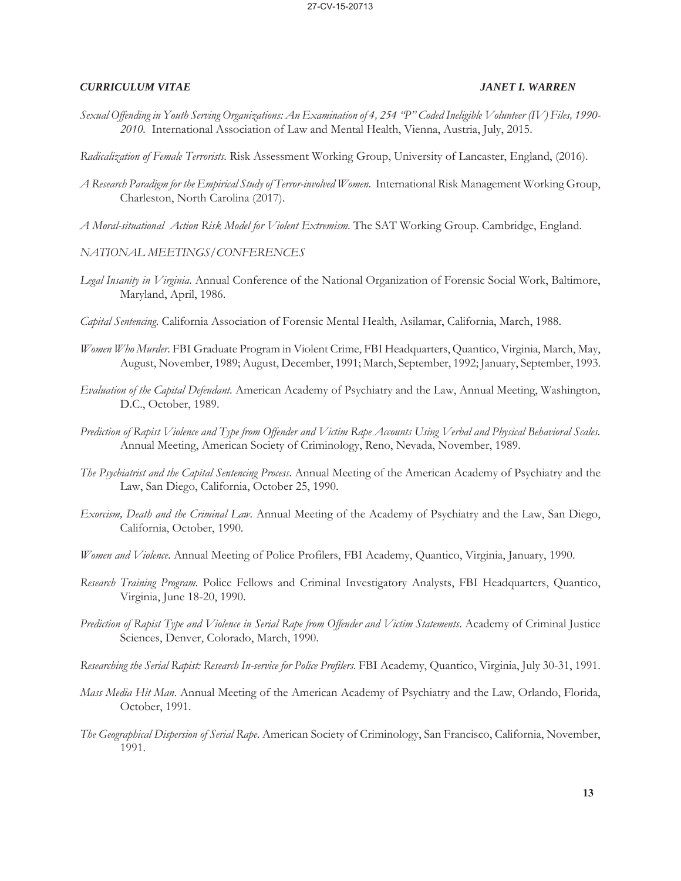- *Sexual Offending in Youth Serving Organizations: An Examination of 4, 254 "P" Coded Ineligible Volunteer (IV) Files, 1990- 2010.* International Association of Law and Mental Health, Vienna, Austria, July, 2015.
- *Radicalization of Female Terrorists*. Risk Assessment Working Group, University of Lancaster, England, (2016).
- *A Research Paradigm for the Empirical Study of Terror-involved Women*. International Risk Management Working Group, Charleston, North Carolina (2017).
- *A Moral-situational Action Risk Model for Violent Extremism*. The SAT Working Group. Cambridge, England.
- *NATIONAL MEETINGS/CONFERENCES*
- *Legal Insanity in Virginia*. Annual Conference of the National Organization of Forensic Social Work, Baltimore, Maryland, April, 1986.
- *Capital Sentencing*. California Association of Forensic Mental Health, Asilamar, California, March, 1988.
- *Women Who Murder*. FBI Graduate Program in Violent Crime, FBI Headquarters, Quantico, Virginia, March, May, August, November, 1989; August, December, 1991; March, September, 1992; January, September, 1993.
- *Evaluation of the Capital Defendant*. American Academy of Psychiatry and the Law, Annual Meeting, Washington, D.C., October, 1989.
- *Prediction of Rapist Violence and Type from Offender and Victim Rape Accounts Using Verbal and Physical Behavioral Scales.* Annual Meeting, American Society of Criminology, Reno, Nevada, November, 1989.
- *The Psychiatrist and the Capital Sentencing Process*. Annual Meeting of the American Academy of Psychiatry and the Law, San Diego, California, October 25, 1990.
- *Exorcism, Death and the Criminal Law*. Annual Meeting of the Academy of Psychiatry and the Law, San Diego, California, October, 1990.
- *Women and Violence*. Annual Meeting of Police Profilers, FBI Academy, Quantico, Virginia, January, 1990.
- *Research Training Program*. Police Fellows and Criminal Investigatory Analysts, FBI Headquarters, Quantico, Virginia, June 18-20, 1990.
- *Prediction of Rapist Type and Violence in Serial Rape from Offender and Victim Statements*. Academy of Criminal Justice Sciences, Denver, Colorado, March, 1990.
- *Researching the Serial Rapist: Research In-service for Police Profilers.* FBI Academy, Quantico, Virginia, July 30-31, 1991.
- *Mass Media Hit Man*. Annual Meeting of the American Academy of Psychiatry and the Law, Orlando, Florida, October, 1991.
- *The Geographical Dispersion of Serial Rape*. American Society of Criminology, San Francisco, California, November, 1991.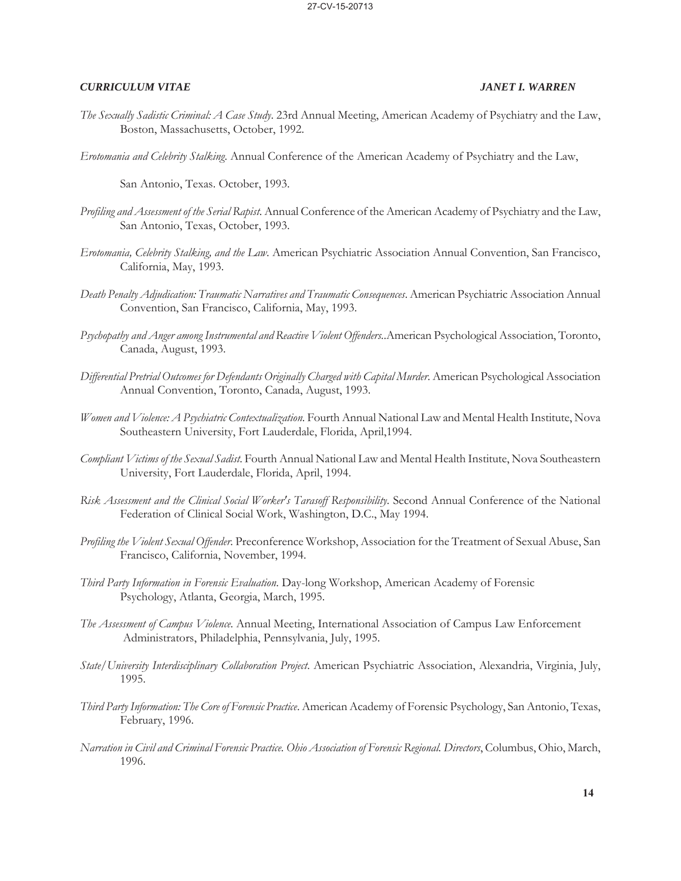- *The Sexually Sadistic Criminal: A Case Study*. 23rd Annual Meeting, American Academy of Psychiatry and the Law, Boston, Massachusetts, October, 1992.
- *Erotomania and Celebrity Stalking*. Annual Conference of the American Academy of Psychiatry and the Law,

San Antonio, Texas. October, 1993.

- *Profiling and Assessment of the Serial Rapist*. Annual Conference of the American Academy of Psychiatry and the Law, San Antonio, Texas, October, 1993.
- *Erotomania, Celebrity Stalking, and the Law*. American Psychiatric Association Annual Convention, San Francisco, California, May, 1993.
- *Death Penalty Adjudication: Traumatic Narratives and Traumatic Consequences*. American Psychiatric Association Annual Convention, San Francisco, California, May, 1993.
- *Psychopathy and Anger among Instrumental and Reactive Violent Offenders.*.American Psychological Association, Toronto, Canada, August, 1993.
- *Differential Pretrial Outcomes for Defendants Originally Charged with Capital Murder*. American Psychological Association Annual Convention, Toronto, Canada, August, 1993.
- *Women and Violence: A Psychiatric Contextualization*. Fourth Annual National Law and Mental Health Institute, Nova Southeastern University, Fort Lauderdale, Florida, April,1994.
- *Compliant Victims of the Sexual Sadist*. Fourth Annual National Law and Mental Health Institute, Nova Southeastern University, Fort Lauderdale, Florida, April, 1994.
- *Risk Assessment and the Clinical Social Worker's Tarasoff Responsibility*. Second Annual Conference of the National Federation of Clinical Social Work, Washington, D.C., May 1994.
- *Profiling the Violent Sexual Offender*. Preconference Workshop, Association for the Treatment of Sexual Abuse, San Francisco, California, November, 1994.
- *Third Party Information in Forensic Evaluation*. Day-long Workshop, American Academy of Forensic Psychology, Atlanta, Georgia, March, 1995.
- *The Assessment of Campus Violence*. Annual Meeting, International Association of Campus Law Enforcement Administrators, Philadelphia, Pennsylvania, July, 1995.
- *State/University Interdisciplinary Collaboration Project*. American Psychiatric Association, Alexandria, Virginia, July, 1995.
- *Third Party Information: The Core of Forensic Practice*. American Academy of Forensic Psychology, San Antonio, Texas, February, 1996.
- *Narration in Civil and Criminal Forensic Practice. Ohio Association of Forensic Regional. Directors*, Columbus, Ohio, March, 1996.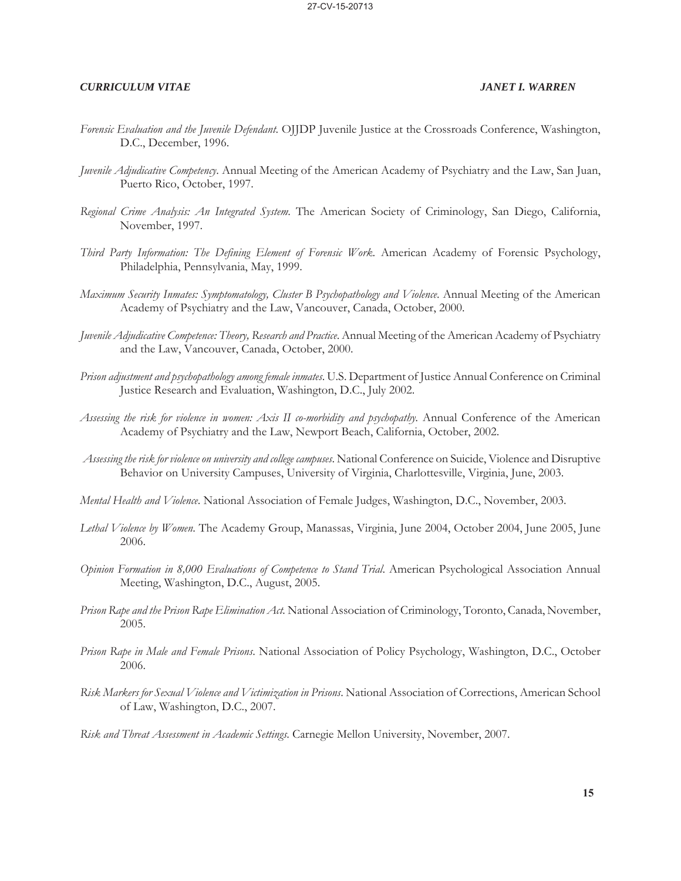- *Forensic Evaluation and the Juvenile Defendant*. OJJDP Juvenile Justice at the Crossroads Conference, Washington, D.C., December, 1996.
- *Juvenile Adjudicative Competency*. Annual Meeting of the American Academy of Psychiatry and the Law, San Juan, Puerto Rico, October, 1997.
- *Regional Crime Analysis: An Integrated System*. The American Society of Criminology, San Diego, California, November, 1997.
- *Third Party Information: The Defining Element of Forensic Work*. American Academy of Forensic Psychology, Philadelphia, Pennsylvania, May, 1999.
- *Maximum Security Inmates: Symptomatology, Cluster B Psychopathology and Violence*. Annual Meeting of the American Academy of Psychiatry and the Law, Vancouver, Canada, October, 2000.
- *Juvenile Adjudicative Competence: Theory, Research and Practice*. Annual Meeting of the American Academy of Psychiatry and the Law, Vancouver, Canada, October, 2000.
- *Prison adjustment and psychopathology among female inmates*. U.S. Department of Justice Annual Conference on Criminal Justice Research and Evaluation, Washington, D.C., July 2002.
- *Assessing the risk for violence in women: Axis II co-morbidity and psychopathy.* Annual Conference of the American Academy of Psychiatry and the Law, Newport Beach, California, October, 2002.
- *Assessing the risk for violence on university and college campuses*. National Conference on Suicide, Violence and Disruptive Behavior on University Campuses, University of Virginia, Charlottesville, Virginia, June, 2003.
- *Mental Health and Violence*. National Association of Female Judges, Washington, D.C., November, 2003.
- *Lethal Violence by Women*. The Academy Group, Manassas, Virginia, June 2004, October 2004, June 2005, June 2006.
- *Opinion Formation in 8,000 Evaluations of Competence to Stand Trial*. American Psychological Association Annual Meeting, Washington, D.C., August, 2005.
- *Prison Rape and the Prison Rape Elimination Act.* National Association of Criminology, Toronto, Canada, November, 2005.
- *Prison Rape in Male and Female Prisons*. National Association of Policy Psychology, Washington, D.C., October 2006.
- *Risk Markers for Sexual Violence and Victimization in Prisons*. National Association of Corrections, American School of Law, Washington, D.C., 2007.
- *Risk and Threat Assessment in Academic Settings*. Carnegie Mellon University, November, 2007.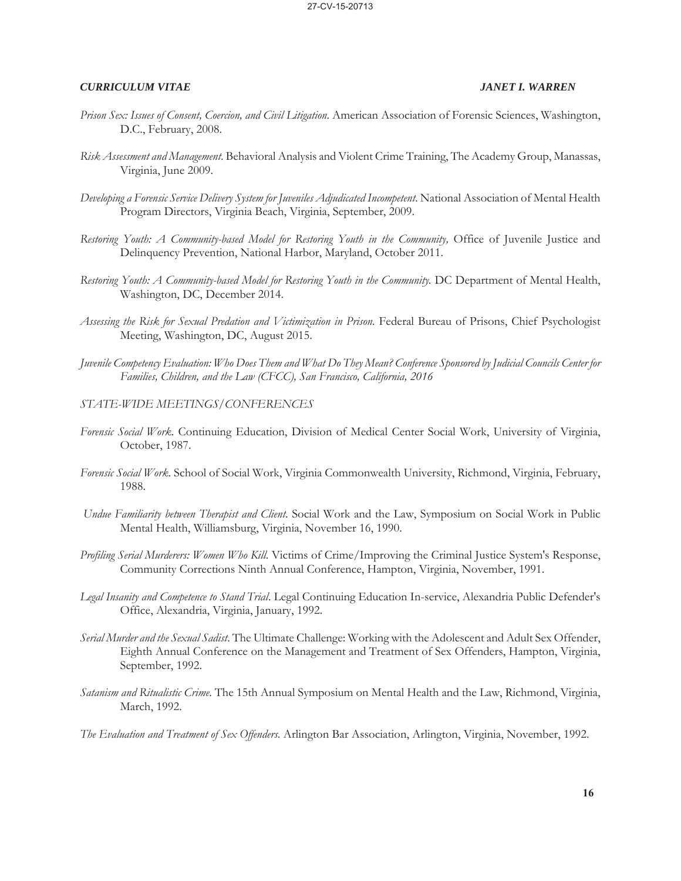- *Prison Sex: Issues of Consent, Coercion, and Civil Litigation*. American Association of Forensic Sciences, Washington, D.C., February, 2008.
- *Risk Assessment and Management*. Behavioral Analysis and Violent Crime Training, The Academy Group, Manassas, Virginia, June 2009.
- *Developing a Forensic Service Delivery System for Juveniles Adjudicated Incompetent*. National Association of Mental Health Program Directors, Virginia Beach, Virginia, September, 2009.
- Restoring Youth: A Community-based Model for Restoring Youth in the Community, Office of Juvenile Justice and Delinquency Prevention, National Harbor, Maryland, October 2011.
- *Restoring Youth: A Community-based Model for Restoring Youth in the Community.* DC Department of Mental Health, Washington, DC, December 2014.
- *Assessing the Risk for Sexual Predation and Victimization in Prison.* Federal Bureau of Prisons, Chief Psychologist Meeting, Washington, DC, August 2015.
- *Juvenile Competency Evaluation: Who Does Them and What Do They Mean? Conference Sponsored by Judicial Councils Center for Families, Children, and the Law (CFCC), San Francisco, California, 2016*
- *STATE-WIDE MEETINGS/CONFERENCES*
- *Forensic Social Work*. Continuing Education, Division of Medical Center Social Work, University of Virginia, October, 1987.
- *Forensic Social Work*. School of Social Work, Virginia Commonwealth University, Richmond, Virginia, February, 1988.
- *Undue Familiarity between Therapist and Client*. Social Work and the Law, Symposium on Social Work in Public Mental Health, Williamsburg, Virginia, November 16, 1990.
- *Profiling Serial Murderers: Women Who Kill*. Victims of Crime/Improving the Criminal Justice System's Response, Community Corrections Ninth Annual Conference, Hampton, Virginia, November, 1991.
- *Legal Insanity and Competence to Stand Trial*. Legal Continuing Education In-service, Alexandria Public Defender's Office, Alexandria, Virginia, January, 1992.
- *Serial Murder and the Sexual Sadist*. The Ultimate Challenge: Working with the Adolescent and Adult Sex Offender, Eighth Annual Conference on the Management and Treatment of Sex Offenders, Hampton, Virginia, September, 1992.
- *Satanism and Ritualistic Crime*. The 15th Annual Symposium on Mental Health and the Law, Richmond, Virginia, March, 1992.
- *The Evaluation and Treatment of Sex Offenders*. Arlington Bar Association, Arlington, Virginia, November, 1992.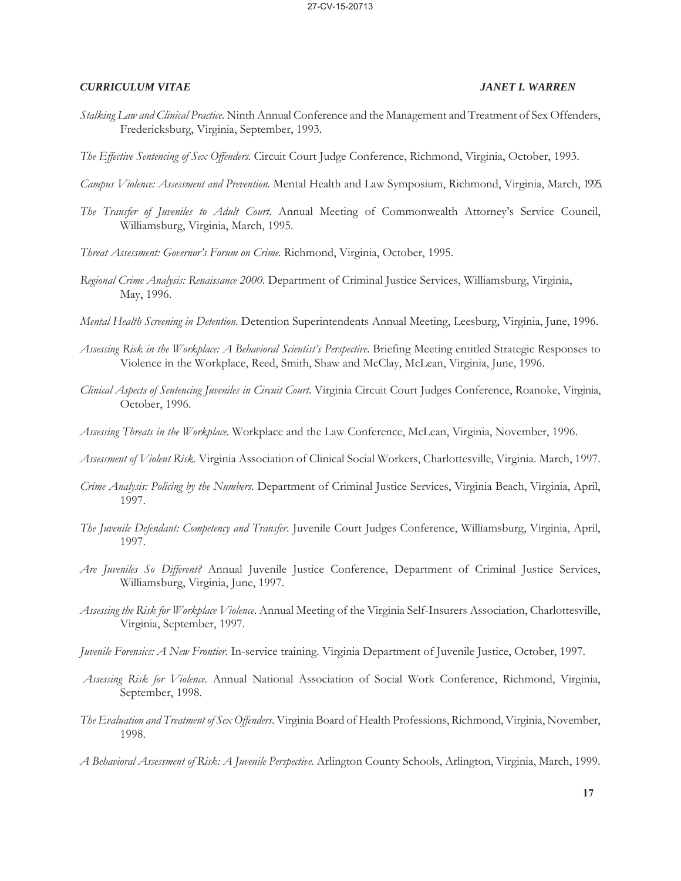- *Stalking Law and Clinical Practice*. Ninth Annual Conference and the Management and Treatment of Sex Offenders, Fredericksburg, Virginia, September, 1993.
- *The Effective Sentencing of Sex Offenders*. Circuit Court Judge Conference, Richmond, Virginia, October, 1993.
- *Campus Violence: Assessment and Prevention.* Mental Health and Law Symposium, Richmond, Virginia, March, 1995.
- *The Transfer of Juveniles to Adult Court*. Annual Meeting of Commonwealth Attorney's Service Council, Williamsburg, Virginia, March, 1995.
- *Threat Assessment: Governor's Forum on Crime*. Richmond, Virginia, October, 1995.
- *Regional Crime Analysis: Renaissance 2000*. Department of Criminal Justice Services, Williamsburg, Virginia, May, 1996.
- *Mental Health Screening in Detention*. Detention Superintendents Annual Meeting, Leesburg, Virginia, June, 1996.
- *Assessing Risk in the Workplace: A Behavioral Scientist's Perspective*. Briefing Meeting entitled Strategic Responses to Violence in the Workplace, Reed, Smith, Shaw and McClay, McLean, Virginia, June, 1996.
- *Clinical Aspects of Sentencing Juveniles in Circuit Court*. Virginia Circuit Court Judges Conference, Roanoke, Virginia, October, 1996.
- *Assessing Threats in the Workplace*. Workplace and the Law Conference, McLean, Virginia, November, 1996.
- *Assessment of Violent Risk*. Virginia Association of Clinical Social Workers, Charlottesville, Virginia. March, 1997.
- *Crime Analysis: Policing by the Numbers*. Department of Criminal Justice Services, Virginia Beach, Virginia, April, 1997.
- *The Juvenile Defendant: Competency and Transfer*. Juvenile Court Judges Conference, Williamsburg, Virginia, April, 1997.
- *Are Juveniles So Different?* Annual Juvenile Justice Conference, Department of Criminal Justice Services, Williamsburg, Virginia, June, 1997.
- *Assessing the Risk for Workplace Violence*. Annual Meeting of the Virginia Self-Insurers Association, Charlottesville, Virginia, September, 1997.
- *Juvenile Forensics: A New Frontier*. In-service training. Virginia Department of Juvenile Justice, October, 1997.
- *Assessing Risk for Violence*. Annual National Association of Social Work Conference, Richmond, Virginia, September, 1998.
- *The Evaluation and Treatment of Sex Offenders*. Virginia Board of Health Professions, Richmond, Virginia, November, 1998.
- *A Behavioral Assessment of Risk: A Juvenile Perspective*. Arlington County Schools, Arlington, Virginia, March, 1999.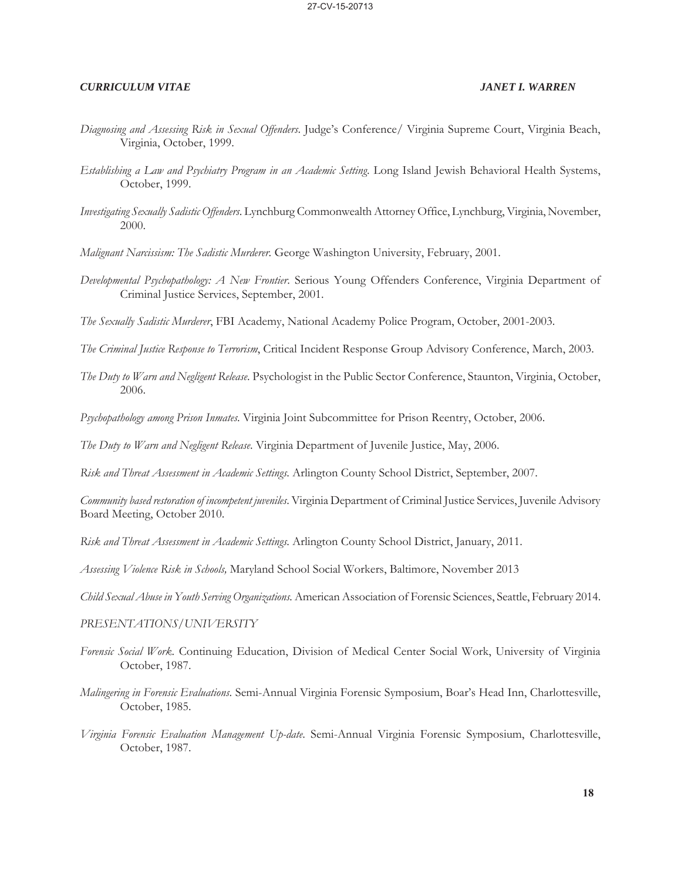- *Diagnosing and Assessing Risk in Sexual Offenders*. Judge's Conference/ Virginia Supreme Court, Virginia Beach, Virginia, October, 1999.
- *Establishing a Law and Psychiatry Program in an Academic Setting*. Long Island Jewish Behavioral Health Systems, October, 1999.
- *Investigating Sexually Sadistic Offenders*. Lynchburg Commonwealth Attorney Office, Lynchburg, Virginia, November, 2000.
- *Malignant Narcissism: The Sadistic Murderer*. George Washington University, February, 2001.
- *Developmental Psychopathology: A New Frontier*. Serious Young Offenders Conference, Virginia Department of Criminal Justice Services, September, 2001.
- *The Sexually Sadistic Murderer*, FBI Academy, National Academy Police Program, October, 2001-2003.
- *The Criminal Justice Response to Terrorism*, Critical Incident Response Group Advisory Conference, March, 2003.
- *The Duty to Warn and Negligent Release*. Psychologist in the Public Sector Conference, Staunton, Virginia, October, 2006.
- *Psychopathology among Prison Inmates*. Virginia Joint Subcommittee for Prison Reentry, October, 2006.
- *The Duty to Warn and Negligent Release*. Virginia Department of Juvenile Justice, May, 2006.
- *Risk and Threat Assessment in Academic Settings*. Arlington County School District, September, 2007.

*Community based restoration of incompetent juveniles*. Virginia Department of Criminal Justice Services, Juvenile Advisory Board Meeting, October 2010.

- *Risk and Threat Assessment in Academic Settings*. Arlington County School District, January, 2011.
- *Assessing Violence Risk in Schools,* Maryland School Social Workers, Baltimore, November 2013
- *Child Sexual Abuse in Youth Serving Organizations.* American Association of Forensic Sciences, Seattle, February 2014.

### *PRESENTATIONS/UNIVERSITY*

- *Forensic Social Work*. Continuing Education, Division of Medical Center Social Work, University of Virginia October, 1987.
- *Malingering in Forensic Evaluations*. Semi-Annual Virginia Forensic Symposium, Boar's Head Inn, Charlottesville, October, 1985.
- *Virginia Forensic Evaluation Management Up-date*. Semi-Annual Virginia Forensic Symposium, Charlottesville, October, 1987.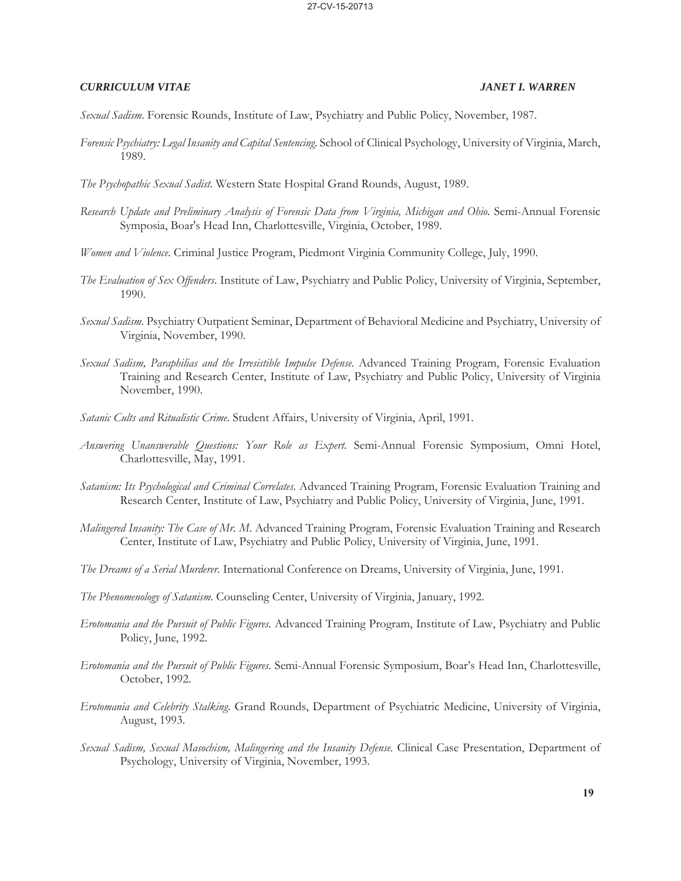*Sexual Sadism*. Forensic Rounds, Institute of Law, Psychiatry and Public Policy, November, 1987.

*Forensic Psychiatry: Legal Insanity and Capital Sentencing*. School of Clinical Psychology, University of Virginia, March, 1989.

*The Psychopathic Sexual Sadist*. Western State Hospital Grand Rounds, August, 1989.

- *Research Update and Preliminary Analysis of Forensic Data from Virginia, Michigan and Ohio*. Semi-Annual Forensic Symposia, Boar's Head Inn, Charlottesville, Virginia, October, 1989.
- *Women and Violence*. Criminal Justice Program, Piedmont Virginia Community College, July, 1990.
- *The Evaluation of Sex Offenders*. Institute of Law, Psychiatry and Public Policy, University of Virginia, September, 1990.
- *Sexual Sadism*. Psychiatry Outpatient Seminar, Department of Behavioral Medicine and Psychiatry, University of Virginia, November, 1990.
- *Sexual Sadism, Paraphilias and the Irresistible Impulse Defense*. Advanced Training Program, Forensic Evaluation Training and Research Center, Institute of Law, Psychiatry and Public Policy, University of Virginia November, 1990.
- *Satanic Cults and Ritualistic Crime*. Student Affairs, University of Virginia, April, 1991.
- *Answering Unanswerable Questions: Your Role as Expert.* Semi-Annual Forensic Symposium, Omni Hotel, Charlottesville, May, 1991.
- *Satanism: Its Psychological and Criminal Correlates*. Advanced Training Program, Forensic Evaluation Training and Research Center, Institute of Law, Psychiatry and Public Policy, University of Virginia, June, 1991.
- *Malingered Insanity: The Case of Mr. M*. Advanced Training Program, Forensic Evaluation Training and Research Center, Institute of Law, Psychiatry and Public Policy, University of Virginia, June, 1991.
- *The Dreams of a Serial Murderer*. International Conference on Dreams, University of Virginia, June, 1991.
- *The Phenomenology of Satanism*. Counseling Center, University of Virginia, January, 1992.
- *Erotomania and the Pursuit of Public Figures*. Advanced Training Program, Institute of Law, Psychiatry and Public Policy, June, 1992.
- *Erotomania and the Pursuit of Public Figures*. Semi-Annual Forensic Symposium, Boar's Head Inn, Charlottesville, October, 1992.
- *Erotomania and Celebrity Stalking*. Grand Rounds, Department of Psychiatric Medicine, University of Virginia, August, 1993.
- *Sexual Sadism, Sexual Masochism, Malingering and the Insanity Defense.* Clinical Case Presentation, Department of Psychology, University of Virginia, November, 1993.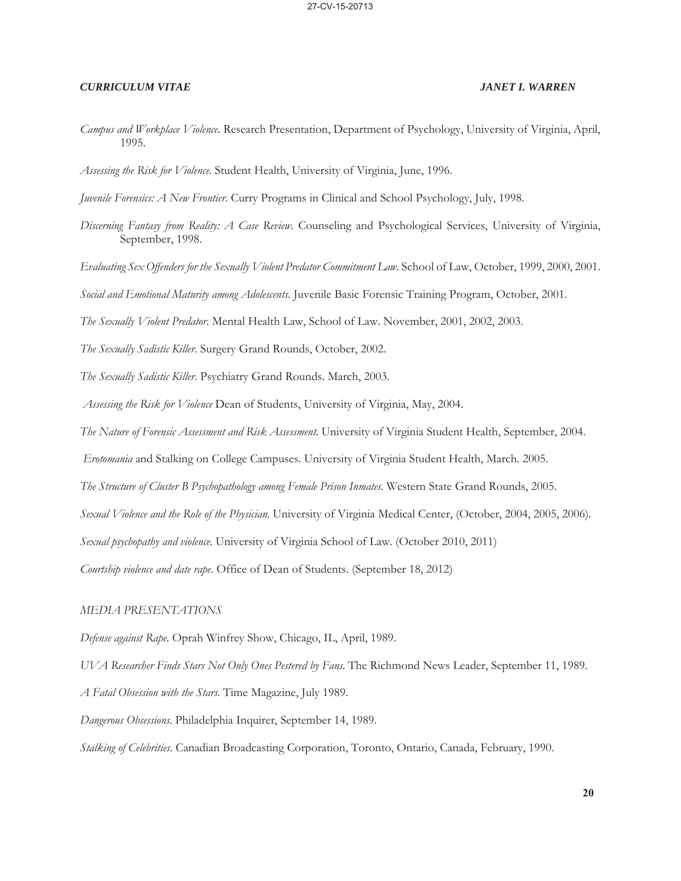*Campus and Workplace Violence*. Research Presentation, Department of Psychology, University of Virginia, April, 1995.

*Assessing the Risk for Violence*. Student Health, University of Virginia, June, 1996.

*Juvenile Forensics: A New Frontier*. Curry Programs in Clinical and School Psychology, July, 1998.

- *Discerning Fantasy from Reality: A Case Review*. Counseling and Psychological Services, University of Virginia, September, 1998.
- *Evaluating Sex Offenders for the Sexually Violent Predator Commitment Law*. School of Law, October, 1999, 2000, 2001.

*Social and Emotional Maturity among Adolescents.* Juvenile Basic Forensic Training Program, October, 2001.

*The Sexually Violent Predator*. Mental Health Law, School of Law. November, 2001, 2002, 2003.

*The Sexually Sadistic Killer*. Surgery Grand Rounds, October, 2002.

*The Sexually Sadistic Killer*. Psychiatry Grand Rounds. March, 2003.

*Assessing the Risk for Violence* Dean of Students, University of Virginia, May, 2004.

*The Nature of Forensic Assessment and Risk Assessment*. University of Virginia Student Health, September, 2004.

 *Erotomania* and Stalking on College Campuses. University of Virginia Student Health, March. 2005.

*The Structure of Cluster B Psychopathology among Female Prison Inmates*. Western State Grand Rounds, 2005.

*Sexual Violence and the Role of the Physician*. University of Virginia Medical Center, (October, 2004, 2005, 2006).

*Sexual psychopathy and violence*. University of Virginia School of Law. (October 2010, 2011)

*Courtship violence and date rape*. Office of Dean of Students. (September 18, 2012)

### *MEDIA PRESENTATIONS*

*Defense against Rape*. Oprah Winfrey Show, Chicago, IL, April, 1989.

*UVA Researcher Finds Stars Not Only Ones Pestered by Fans*. The Richmond News Leader, September 11, 1989.

*A Fatal Obsession with the Stars*. Time Magazine, July 1989.

*Dangerous Obsessions*. Philadelphia Inquirer, September 14, 1989.

*Stalking of Celebrities*. Canadian Broadcasting Corporation, Toronto, Ontario, Canada, February, 1990.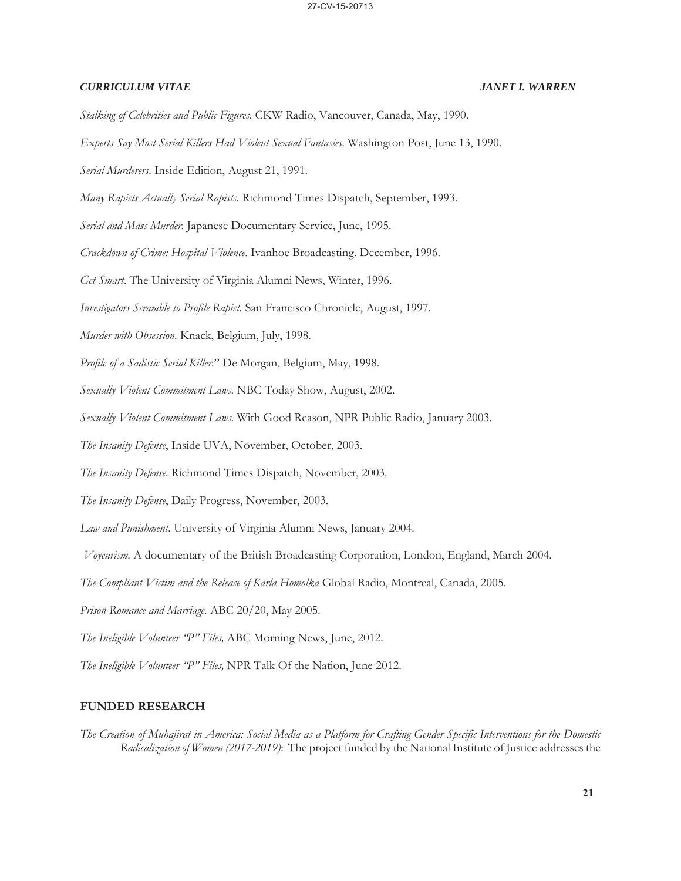- *Stalking of Celebrities and Public Figures*. CKW Radio, Vancouver, Canada, May, 1990.
- *Experts Say Most Serial Killers Had Violent Sexual Fantasies*. Washington Post, June 13, 1990.
- *Serial Murderers*. Inside Edition, August 21, 1991.
- *Many Rapists Actually Serial Rapists*. Richmond Times Dispatch, September, 1993.
- *Serial and Mass Murder*. Japanese Documentary Service, June, 1995.
- *Crackdown of Crime: Hospital Violence*. Ivanhoe Broadcasting. December, 1996.
- *Get Smart*. The University of Virginia Alumni News, Winter, 1996.
- *Investigators Scramble to Profile Rapist*. San Francisco Chronicle, August, 1997.
- *Murder with Obsession*. Knack, Belgium, July, 1998.
- *Profile of a Sadistic Serial Killer*." De Morgan, Belgium, May, 1998.
- *Sexually Violent Commitment Laws*. NBC Today Show, August, 2002.
- *Sexually Violent Commitment Laws*. With Good Reason, NPR Public Radio, January 2003.
- *The Insanity Defense*, Inside UVA, November, October, 2003.
- *The Insanity Defense*. Richmond Times Dispatch, November, 2003.
- *The Insanity Defense*, Daily Progress, November, 2003.
- *Law and Punishment*. University of Virginia Alumni News, January 2004.
- *Voyeurism*. A documentary of the British Broadcasting Corporation, London, England, March 2004.
- *The Compliant Victim and the Release of Karla Homolka* Global Radio, Montreal, Canada, 2005.
- *Prison Romance and Marriage.* ABC 20/20, May 2005.
- *The Ineligible Volunteer "P" Files,* ABC Morning News, June, 2012.
- *The Ineligible Volunteer "P" Files,* NPR Talk Of the Nation, June 2012.

### **FUNDED RESEARCH**

*The Creation of Muhajirat in America: Social Media as a Platform for Crafting Gender Specific Interventions for the Domestic Radicalization of Women (2017-2019)*: The project funded by the National Institute of Justice addresses the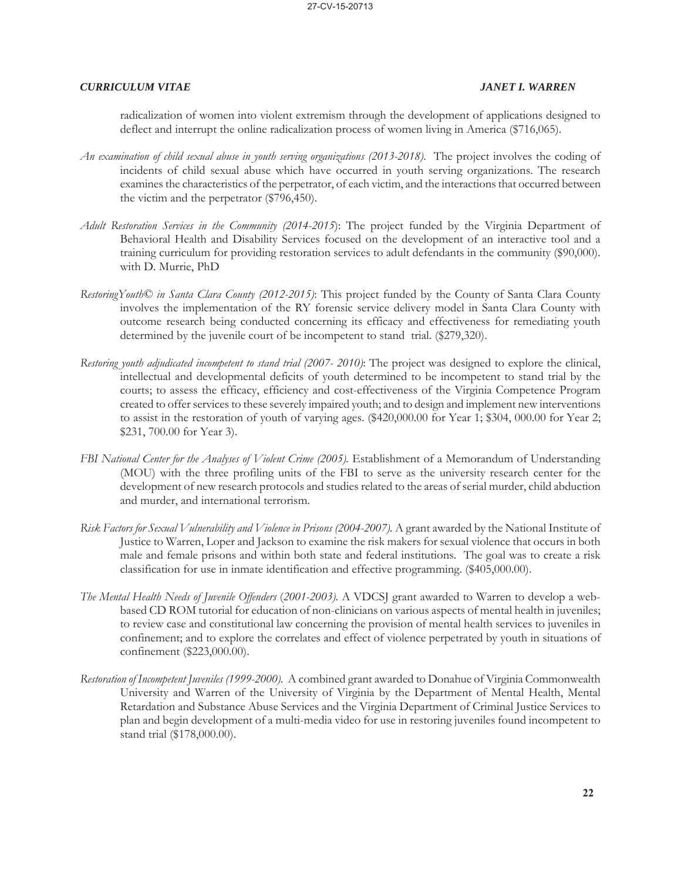radicalization of women into violent extremism through the development of applications designed to deflect and interrupt the online radicalization process of women living in America (\$716,065).

- *An examination of child sexual abuse in youth serving organizations (2013-2018).* The project involves the coding of incidents of child sexual abuse which have occurred in youth serving organizations. The research examines the characteristics of the perpetrator, of each victim, and the interactions that occurred between the victim and the perpetrator (\$796,450).
- *Adult Restoration Services in the Community (2014-2015*): The project funded by the Virginia Department of Behavioral Health and Disability Services focused on the development of an interactive tool and a training curriculum for providing restoration services to adult defendants in the community (\$90,000). with D. Murrie, PhD
- *RestoringYouth© in Santa Clara County (2012-2015)*: This project funded by the County of Santa Clara County involves the implementation of the RY forensic service delivery model in Santa Clara County with outcome research being conducted concerning its efficacy and effectiveness for remediating youth determined by the juvenile court of be incompetent to stand trial. (\$279,320).
- *Restoring youth adjudicated incompetent to stand trial (2007- 2010)*: The project was designed to explore the clinical, intellectual and developmental deficits of youth determined to be incompetent to stand trial by the courts; to assess the efficacy, efficiency and cost-effectiveness of the Virginia Competence Program created to offer services to these severely impaired youth; and to design and implement new interventions to assist in the restoration of youth of varying ages. (\$420,000.00 for Year 1; \$304, 000.00 for Year 2; \$231, 700.00 for Year 3).
- *FBI National Center for the Analyses of Violent Crime (2005)*. Establishment of a Memorandum of Understanding (MOU) with the three profiling units of the FBI to serve as the university research center for the development of new research protocols and studies related to the areas of serial murder, child abduction and murder, and international terrorism.
- *Risk Factors for Sexual Vulnerability and Violence in Prisons (2004-2007)*. A grant awarded by the National Institute of Justice to Warren, Loper and Jackson to examine the risk makers for sexual violence that occurs in both male and female prisons and within both state and federal institutions. The goal was to create a risk classification for use in inmate identification and effective programming. (\$405,000.00).
- *The Mental Health Needs of Juvenile Offenders* (*2001-2003).* A VDCSJ grant awarded to Warren to develop a webbased CD ROM tutorial for education of non-clinicians on various aspects of mental health in juveniles; to review case and constitutional law concerning the provision of mental health services to juveniles in confinement; and to explore the correlates and effect of violence perpetrated by youth in situations of confinement (\$223,000.00).
- *Restoration of Incompetent Juveniles (1999-2000).* A combined grant awarded to Donahue of Virginia Commonwealth University and Warren of the University of Virginia by the Department of Mental Health, Mental Retardation and Substance Abuse Services and the Virginia Department of Criminal Justice Services to plan and begin development of a multi-media video for use in restoring juveniles found incompetent to stand trial (\$178,000.00).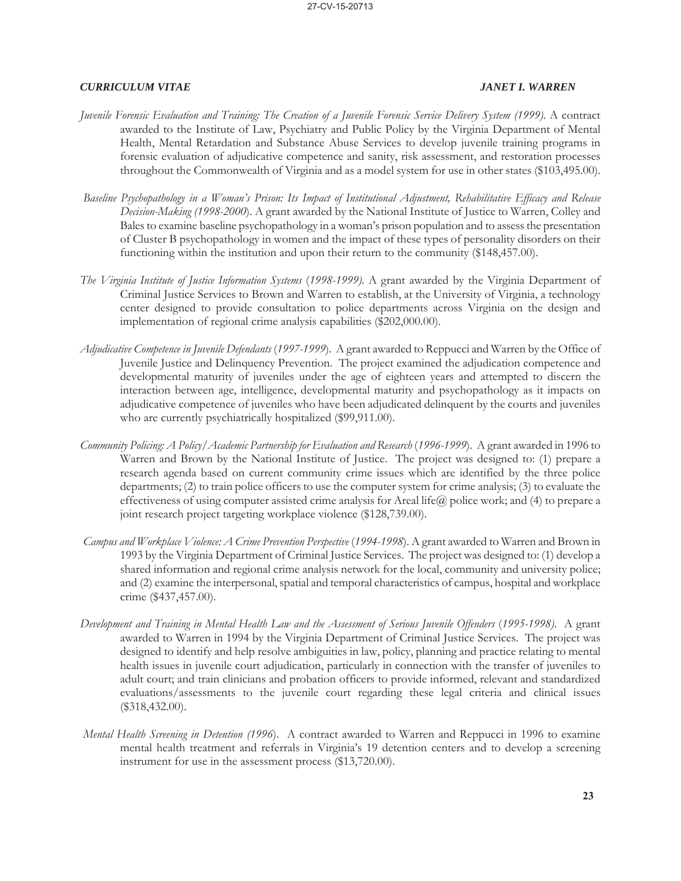- *Juvenile Forensic Evaluation and Training: The Creation of a Juvenile Forensic Service Delivery System (1999).* A contract awarded to the Institute of Law, Psychiatry and Public Policy by the Virginia Department of Mental Health, Mental Retardation and Substance Abuse Services to develop juvenile training programs in forensic evaluation of adjudicative competence and sanity, risk assessment, and restoration processes throughout the Commonwealth of Virginia and as a model system for use in other states (\$103,495.00).
- *Baseline Psychopathology in a Woman's Prison: Its Impact of Institutional Adjustment, Rehabilitative Efficacy and Release Decision-Making (1998-2000*). A grant awarded by the National Institute of Justice to Warren, Colley and Bales to examine baseline psychopathology in a woman's prison population and to assess the presentation of Cluster B psychopathology in women and the impact of these types of personality disorders on their functioning within the institution and upon their return to the community (\$148,457.00).
- *The Virginia Institute of Justice Information Systems* (*1998-1999).* A grant awarded by the Virginia Department of Criminal Justice Services to Brown and Warren to establish, at the University of Virginia, a technology center designed to provide consultation to police departments across Virginia on the design and implementation of regional crime analysis capabilities (\$202,000.00).
- *Adjudicative Competence in Juvenile Defendants* (*1997-1999*). A grant awarded to Reppucci and Warren by the Office of Juvenile Justice and Delinquency Prevention. The project examined the adjudication competence and developmental maturity of juveniles under the age of eighteen years and attempted to discern the interaction between age, intelligence, developmental maturity and psychopathology as it impacts on adjudicative competence of juveniles who have been adjudicated delinquent by the courts and juveniles who are currently psychiatrically hospitalized (\$99,911.00).
- *Community Policing: A Policy/Academic Partnership for Evaluation and Research* (*1996-1999*). A grant awarded in 1996 to Warren and Brown by the National Institute of Justice. The project was designed to: (1) prepare a research agenda based on current community crime issues which are identified by the three police departments; (2) to train police officers to use the computer system for crime analysis; (3) to evaluate the effectiveness of using computer assisted crime analysis for Areal life@ police work; and (4) to prepare a joint research project targeting workplace violence (\$128,739.00).
- *Campus and Workplace Violence: A Crime Prevention Perspective* (*1994-1998*). A grant awarded to Warren and Brown in 1993 by the Virginia Department of Criminal Justice Services. The project was designed to: (1) develop a shared information and regional crime analysis network for the local, community and university police; and (2) examine the interpersonal, spatial and temporal characteristics of campus, hospital and workplace crime (\$437,457.00).
- *Development and Training in Mental Health Law and the Assessment of Serious Juvenile Offenders* (*1995-1998).* A grant awarded to Warren in 1994 by the Virginia Department of Criminal Justice Services. The project was designed to identify and help resolve ambiguities in law, policy, planning and practice relating to mental health issues in juvenile court adjudication, particularly in connection with the transfer of juveniles to adult court; and train clinicians and probation officers to provide informed, relevant and standardized evaluations/assessments to the juvenile court regarding these legal criteria and clinical issues (\$318,432.00).
- *Mental Health Screening in Detention (1996*). A contract awarded to Warren and Reppucci in 1996 to examine mental health treatment and referrals in Virginia's 19 detention centers and to develop a screening instrument for use in the assessment process (\$13,720.00).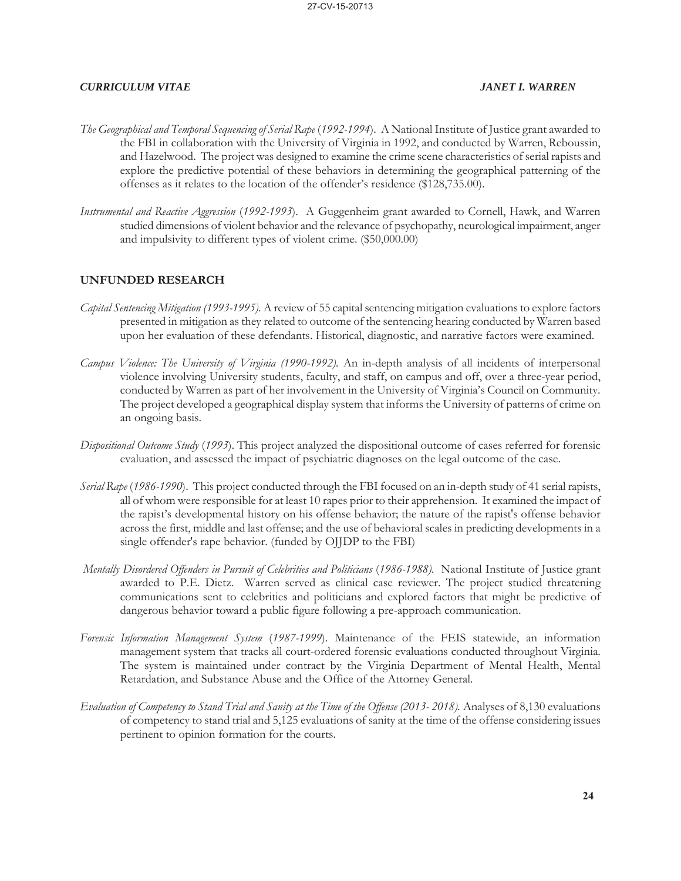- *The Geographical and Temporal Sequencing of Serial Rape* (*1992-1994*). A National Institute of Justice grant awarded to the FBI in collaboration with the University of Virginia in 1992, and conducted by Warren, Reboussin, and Hazelwood. The project was designed to examine the crime scene characteristics of serial rapists and explore the predictive potential of these behaviors in determining the geographical patterning of the offenses as it relates to the location of the offender's residence (\$128,735.00).
- *Instrumental and Reactive Aggression* (*1992-1993*). A Guggenheim grant awarded to Cornell, Hawk, and Warren studied dimensions of violent behavior and the relevance of psychopathy, neurological impairment, anger and impulsivity to different types of violent crime. (\$50,000.00)

### **UNFUNDED RESEARCH**

- *Capital Sentencing Mitigation (1993-1995).* A review of 55 capital sentencing mitigation evaluations to explore factors presented in mitigation as they related to outcome of the sentencing hearing conducted by Warren based upon her evaluation of these defendants. Historical, diagnostic, and narrative factors were examined.
- *Campus Violence: The University of Virginia (1990-1992).* An in-depth analysis of all incidents of interpersonal violence involving University students, faculty, and staff, on campus and off, over a three-year period, conducted by Warren as part of her involvement in the University of Virginia's Council on Community. The project developed a geographical display system that informs the University of patterns of crime on an ongoing basis.
- *Dispositional Outcome Study* (*1993*). This project analyzed the dispositional outcome of cases referred for forensic evaluation, and assessed the impact of psychiatric diagnoses on the legal outcome of the case.
- *Serial Rape* (*1986-1990*). This project conducted through the FBI focused on an in-depth study of 41 serial rapists, all of whom were responsible for at least 10 rapes prior to their apprehension. It examined the impact of the rapist's developmental history on his offense behavior; the nature of the rapist's offense behavior across the first, middle and last offense; and the use of behavioral scales in predicting developments in a single offender's rape behavior. (funded by OJJDP to the FBI)
- *Mentally Disordered Offenders in Pursuit of Celebrities and Politicians* (*1986-1988).* National Institute of Justice grant awarded to P.E. Dietz. Warren served as clinical case reviewer. The project studied threatening communications sent to celebrities and politicians and explored factors that might be predictive of dangerous behavior toward a public figure following a pre-approach communication.
- *Forensic Information Management System* (*1987-1999*). Maintenance of the FEIS statewide, an information management system that tracks all court-ordered forensic evaluations conducted throughout Virginia. The system is maintained under contract by the Virginia Department of Mental Health, Mental Retardation, and Substance Abuse and the Office of the Attorney General.
- *Evaluation of Competency to Stand Trial and Sanity at the Time of the Offense (2013- 2018).* Analyses of 8,130 evaluations of competency to stand trial and 5,125 evaluations of sanity at the time of the offense considering issues pertinent to opinion formation for the courts.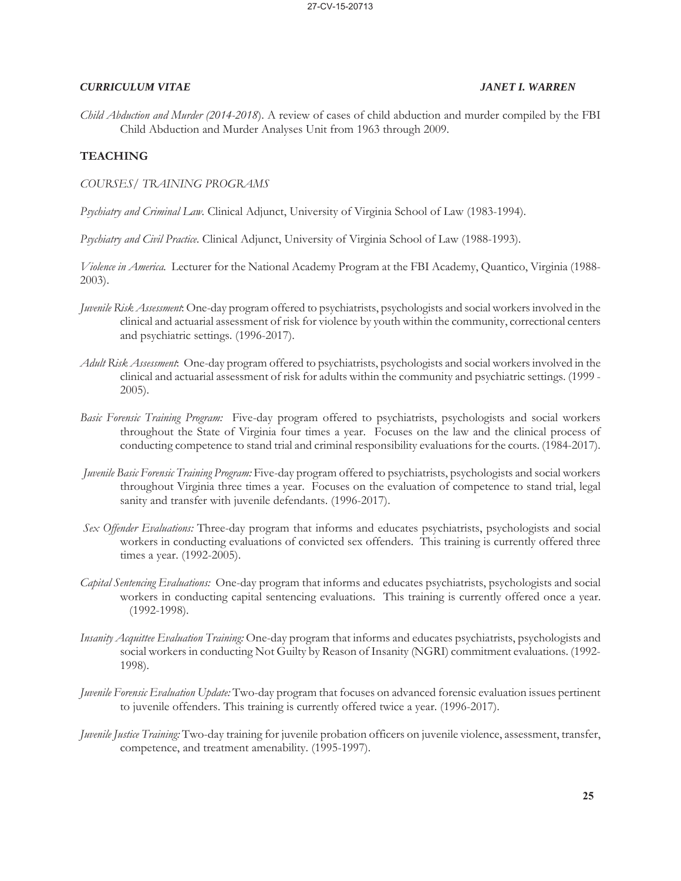*Child Abduction and Murder (2014-2018*). A review of cases of child abduction and murder compiled by the FBI Child Abduction and Murder Analyses Unit from 1963 through 2009.

## **TEACHING**

*COURSES/ TRAINING PROGRAMS*

*Psychiatry and Criminal Law.* Clinical Adjunct, University of Virginia School of Law (1983-1994).

*Psychiatry and Civil Practice*. Clinical Adjunct, University of Virginia School of Law (1988-1993).

*Violence in America.* Lecturer for the National Academy Program at the FBI Academy, Quantico, Virginia (1988- 2003).

- *Juvenile Risk Assessment*: One-day program offered to psychiatrists, psychologists and social workers involved in the clinical and actuarial assessment of risk for violence by youth within the community, correctional centers and psychiatric settings. (1996-2017).
- *Adult Risk Assessment*: One-day program offered to psychiatrists, psychologists and social workers involved in the clinical and actuarial assessment of risk for adults within the community and psychiatric settings. (1999 - 2005).
- *Basic Forensic Training Program:* Five-day program offered to psychiatrists, psychologists and social workers throughout the State of Virginia four times a year. Focuses on the law and the clinical process of conducting competence to stand trial and criminal responsibility evaluations for the courts. (1984-2017).
- *Juvenile Basic Forensic Training Program:* Five-day program offered to psychiatrists, psychologists and social workers throughout Virginia three times a year. Focuses on the evaluation of competence to stand trial, legal sanity and transfer with juvenile defendants. (1996-2017).
- *Sex Offender Evaluations:* Three-day program that informs and educates psychiatrists, psychologists and social workers in conducting evaluations of convicted sex offenders. This training is currently offered three times a year. (1992-2005).
- *Capital Sentencing Evaluations:* One-day program that informs and educates psychiatrists, psychologists and social workers in conducting capital sentencing evaluations. This training is currently offered once a year. (1992-1998).
- *Insanity Acquittee Evaluation Training:* One-day program that informs and educates psychiatrists, psychologists and social workers in conducting Not Guilty by Reason of Insanity (NGRI) commitment evaluations. (1992- 1998).
- *Juvenile Forensic Evaluation Update:* Two-day program that focuses on advanced forensic evaluation issues pertinent to juvenile offenders. This training is currently offered twice a year. (1996-2017).
- *Juvenile Justice Training:* Two-day training for juvenile probation officers on juvenile violence, assessment, transfer, competence, and treatment amenability. (1995-1997).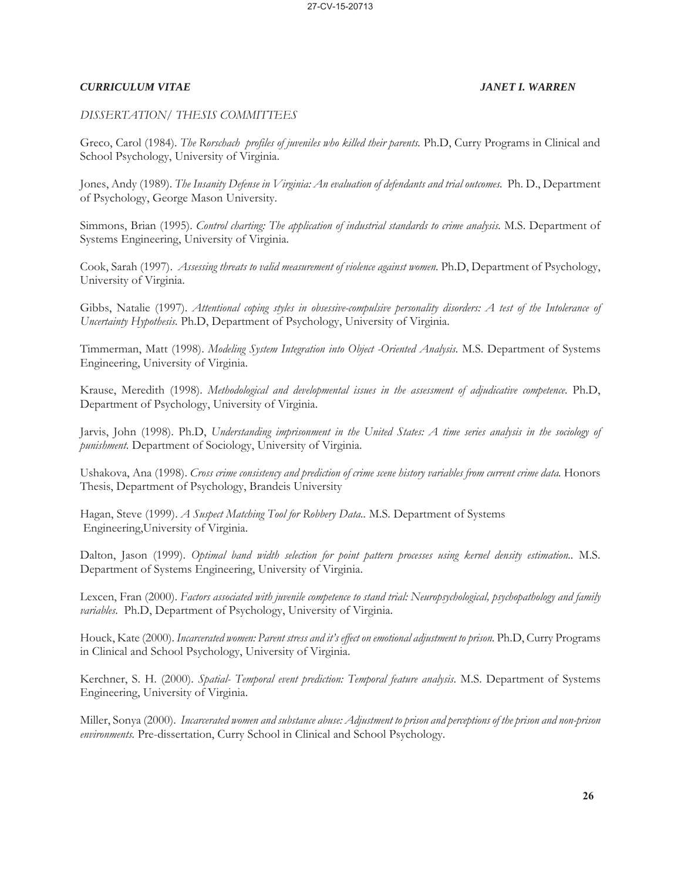### *DISSERTATION/ THESIS COMMITTEES*

Greco, Carol (1984). *The Rorschach profiles of juveniles who killed their parents.* Ph.D, Curry Programs in Clinical and School Psychology, University of Virginia.

Jones, Andy (1989). *The Insanity Defense in Virginia: An evaluation of defendants and trial outcomes.* Ph. D., Department of Psychology, George Mason University.

Simmons, Brian (1995). *Control charting: The application of industrial standards to crime analysis.* M.S. Department of Systems Engineering, University of Virginia.

Cook, Sarah (1997). *Assessing threats to valid measurement of violence against women.* Ph.D, Department of Psychology, University of Virginia.

Gibbs, Natalie (1997). *Attentional coping styles in obsessive-compulsive personality disorders: A test of the Intolerance of Uncertainty Hypothesis.* Ph.D, Department of Psychology, University of Virginia.

Timmerman, Matt (1998). *Modeling System Integration into Object -Oriented Analysis.* M.S. Department of Systems Engineering, University of Virginia.

Krause, Meredith (1998). *Methodological and developmental issues in the assessment of adjudicative competence.* Ph.D, Department of Psychology, University of Virginia.

Jarvis, John (1998). Ph.D, *Understanding imprisonment in the United States: A time series analysis in the sociology of punishment*. Department of Sociology, University of Virginia.

Ushakova, Ana (1998). *Cross crime consistency and prediction of crime scene history variables from current crime data.* Honors Thesis, Department of Psychology, Brandeis University

Hagan, Steve (1999). *A Suspect Matching Tool for Robbery Data..* M.S. Department of Systems Engineering,University of Virginia.

Dalton, Jason (1999). *Optimal band width selection for point pattern processes using kernel density estimation..* M.S. Department of Systems Engineering, University of Virginia.

Lexcen, Fran (2000). *Factors associated with juvenile competence to stand trial: Neuropsychological, psychopathology and family variables*. Ph.D, Department of Psychology, University of Virginia.

Houck, Kate (2000). *Incarcerated women: Parent stress and it's effect on emotional adjustment to prison*. Ph.D, Curry Programs in Clinical and School Psychology, University of Virginia.

Kerchner, S. H. (2000). *Spatial- Temporal event prediction: Temporal feature analysis*. M.S. Department of Systems Engineering, University of Virginia.

Miller, Sonya (2000). *Incarcerated women and substance abuse: Adjustment to prison and perceptions of the prison and non-prison environments.* Pre-dissertation, Curry School in Clinical and School Psychology.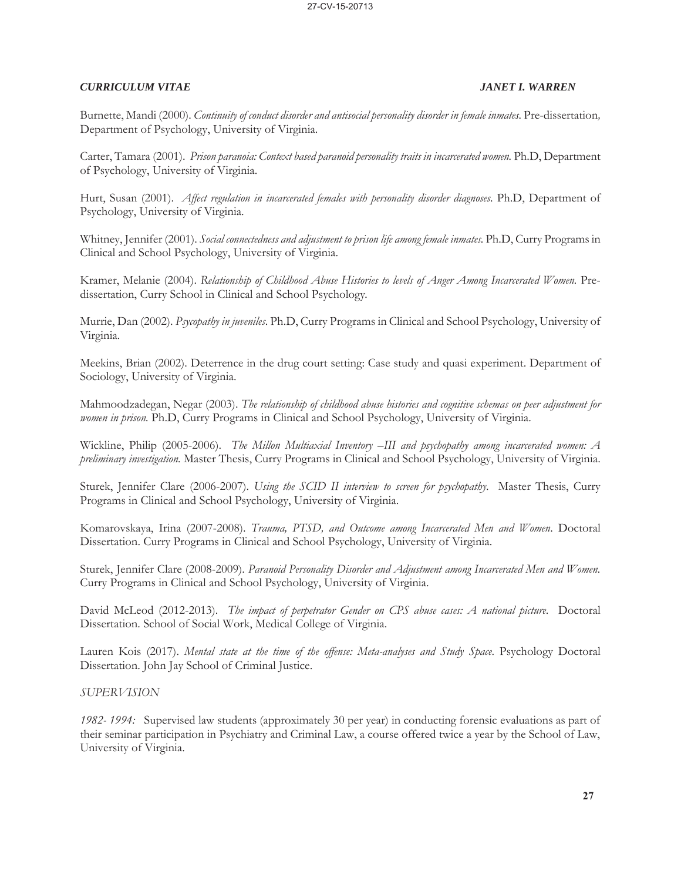Burnette, Mandi (2000). *Continuity of conduct disorder and antisocial personality disorder in female inmates.* Pre-dissertation*,*  Department of Psychology, University of Virginia.

Carter, Tamara (2001). *Prison paranoia: Context based paranoid personality traits in incarcerated women.* Ph.D, Department of Psychology, University of Virginia.

Hurt, Susan (2001). *Affect regulation in incarcerated females with personality disorder diagnoses*. Ph.D, Department of Psychology, University of Virginia.

Whitney, Jennifer (2001). *Social connectedness and adjustment to prison life among female inmates.* Ph.D, Curry Programs in Clinical and School Psychology, University of Virginia.

Kramer, Melanie (2004). *Relationship of Childhood Abuse Histories to levels of Anger Among Incarcerated Women.* Predissertation, Curry School in Clinical and School Psychology*.*

Murrie, Dan (2002). *Psycopathy in juveniles*. Ph.D, Curry Programs in Clinical and School Psychology, University of Virginia.

Meekins, Brian (2002). Deterrence in the drug court setting: Case study and quasi experiment. Department of Sociology, University of Virginia.

Mahmoodzadegan, Negar (2003). *The relationship of childhood abuse histories and cognitive schemas on peer adjustment for women in prison.* Ph.D, Curry Programs in Clinical and School Psychology, University of Virginia.

Wickline, Philip (2005-2006). *The Millon Multiaxial Inventory –III and psychopathy among incarcerated women: A preliminary investigation.* Master Thesis, Curry Programs in Clinical and School Psychology, University of Virginia.

Sturek, Jennifer Clare (2006-2007). *Using the SCID II interview to screen for psychopathy*. Master Thesis, Curry Programs in Clinical and School Psychology, University of Virginia.

Komarovskaya, Irina (2007-2008). *Trauma, PTSD, and Outcome among Incarcerated Men and Women*. Doctoral Dissertation. Curry Programs in Clinical and School Psychology, University of Virginia.

Sturek, Jennifer Clare (2008-2009). *Paranoid Personality Disorder and Adjustment among Incarcerated Men and Women.* Curry Programs in Clinical and School Psychology, University of Virginia.

David McLeod (2012-2013). *The impact of perpetrator Gender on CPS abuse cases: A national picture*. Doctoral Dissertation. School of Social Work, Medical College of Virginia.

Lauren Kois (2017). *Mental state at the time of the offense: Meta-analyses and Study Space*. Psychology Doctoral Dissertation. John Jay School of Criminal Justice.

### *SUPERVISION*

*1982- 1994:* Supervised law students (approximately 30 per year) in conducting forensic evaluations as part of their seminar participation in Psychiatry and Criminal Law, a course offered twice a year by the School of Law, University of Virginia.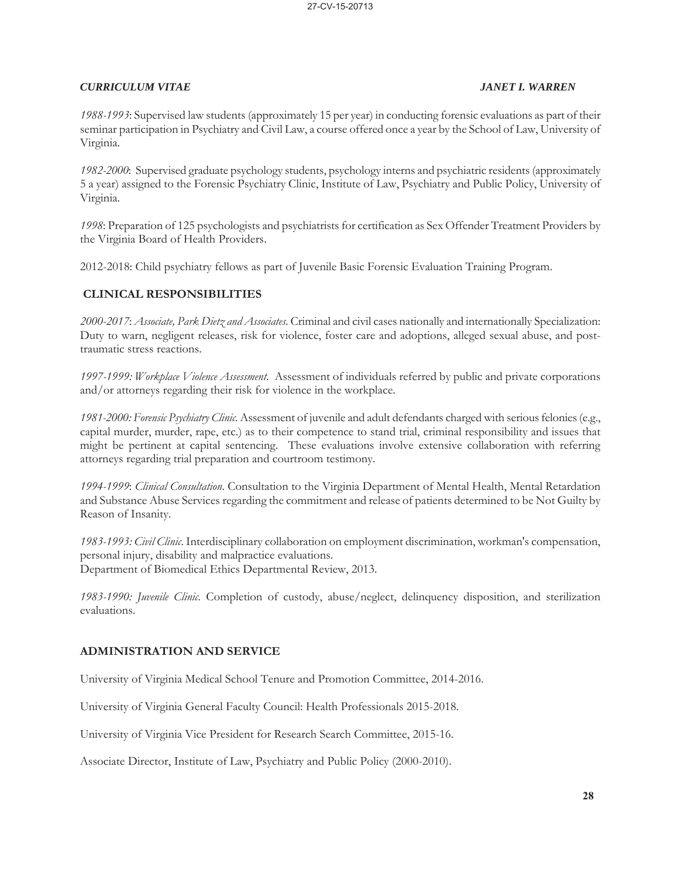*1988-1993*: Supervised law students (approximately 15 per year) in conducting forensic evaluations as part of their seminar participation in Psychiatry and Civil Law, a course offered once a year by the School of Law, University of Virginia.

*1982-2000*: Supervised graduate psychology students, psychology interns and psychiatric residents (approximately 5 a year) assigned to the Forensic Psychiatry Clinic, Institute of Law, Psychiatry and Public Policy, University of Virginia.

*1998*: Preparation of 125 psychologists and psychiatrists for certification as Sex Offender Treatment Providers by the Virginia Board of Health Providers.

2012-2018: Child psychiatry fellows as part of Juvenile Basic Forensic Evaluation Training Program.

## **CLINICAL RESPONSIBILITIES**

*2000-2017*: *Associate, Park Dietz and Associates*. Criminal and civil cases nationally and internationally Specialization: Duty to warn, negligent releases, risk for violence, foster care and adoptions, alleged sexual abuse, and posttraumatic stress reactions.

*1997-1999: Workplace Violence Assessment*. Assessment of individuals referred by public and private corporations and/or attorneys regarding their risk for violence in the workplace.

*1981-2000: Forensic Psychiatry Clinic.* Assessment of juvenile and adult defendants charged with serious felonies (e.g., capital murder, murder, rape, etc.) as to their competence to stand trial, criminal responsibility and issues that might be pertinent at capital sentencing. These evaluations involve extensive collaboration with referring attorneys regarding trial preparation and courtroom testimony.

*1994-1999*: *Clinical Consultation*. Consultation to the Virginia Department of Mental Health, Mental Retardation and Substance Abuse Services regarding the commitment and release of patients determined to be Not Guilty by Reason of Insanity.

*1983-1993: Civil Clinic*. Interdisciplinary collaboration on employment discrimination, workman's compensation, personal injury, disability and malpractice evaluations. Department of Biomedical Ethics Departmental Review, 2013.

*1983-1990: Juvenile Clinic*. Completion of custody, abuse/neglect, delinquency disposition, and sterilization evaluations.

### **ADMINISTRATION AND SERVICE**

University of Virginia Medical School Tenure and Promotion Committee, 2014-2016.

University of Virginia General Faculty Council: Health Professionals 2015-2018.

University of Virginia Vice President for Research Search Committee, 2015-16.

Associate Director, Institute of Law, Psychiatry and Public Policy (2000-2010).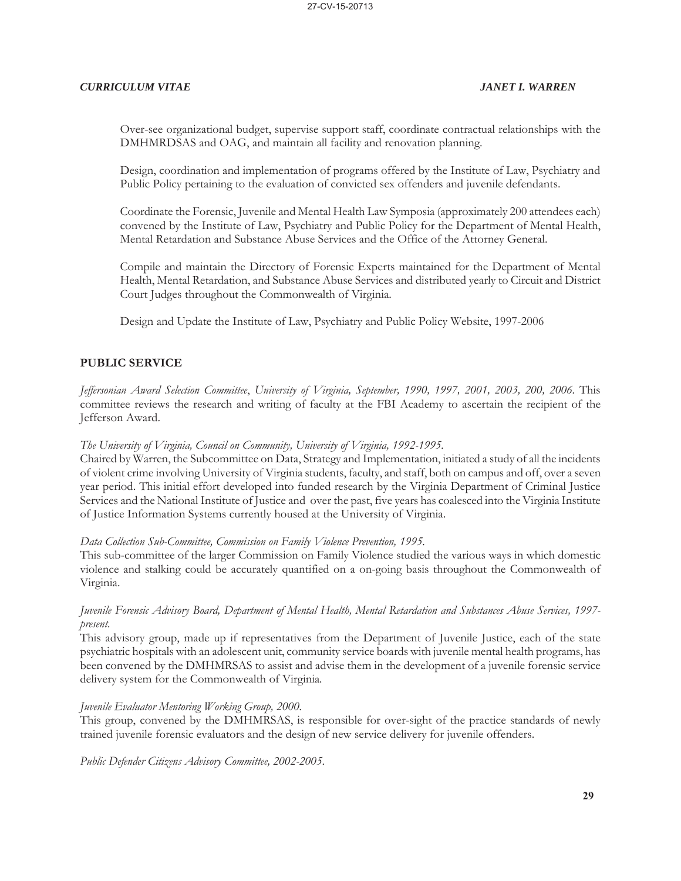Over-see organizational budget, supervise support staff, coordinate contractual relationships with the DMHMRDSAS and OAG, and maintain all facility and renovation planning.

 Design, coordination and implementation of programs offered by the Institute of Law, Psychiatry and Public Policy pertaining to the evaluation of convicted sex offenders and juvenile defendants.

 Coordinate the Forensic, Juvenile and Mental Health Law Symposia (approximately 200 attendees each) convened by the Institute of Law, Psychiatry and Public Policy for the Department of Mental Health, Mental Retardation and Substance Abuse Services and the Office of the Attorney General.

 Compile and maintain the Directory of Forensic Experts maintained for the Department of Mental Health, Mental Retardation, and Substance Abuse Services and distributed yearly to Circuit and District Court Judges throughout the Commonwealth of Virginia.

Design and Update the Institute of Law, Psychiatry and Public Policy Website, 1997-2006

## **PUBLIC SERVICE**

*Jeffersonian Award Selection Committee*, *University of Virginia, September, 1990, 1997, 2001, 2003, 200, 2006.* This committee reviews the research and writing of faculty at the FBI Academy to ascertain the recipient of the Jefferson Award.

### *The University of Virginia, Council on Community, University of Virginia, 1992-1995.*

Chaired by Warren, the Subcommittee on Data, Strategy and Implementation, initiated a study of all the incidents of violent crime involving University of Virginia students, faculty, and staff, both on campus and off, over a seven year period. This initial effort developed into funded research by the Virginia Department of Criminal Justice Services and the National Institute of Justice and over the past, five years has coalesced into the Virginia Institute of Justice Information Systems currently housed at the University of Virginia.

### *Data Collection Sub-Committee, Commission on Family Violence Prevention, 1995.*

This sub-committee of the larger Commission on Family Violence studied the various ways in which domestic violence and stalking could be accurately quantified on a on-going basis throughout the Commonwealth of Virginia.

### *Juvenile Forensic Advisory Board, Department of Mental Health, Mental Retardation and Substances Abuse Services, 1997 present.*

This advisory group, made up if representatives from the Department of Juvenile Justice, each of the state psychiatric hospitals with an adolescent unit, community service boards with juvenile mental health programs, has been convened by the DMHMRSAS to assist and advise them in the development of a juvenile forensic service delivery system for the Commonwealth of Virginia*.* 

### *Juvenile Evaluator Mentoring Working Group, 2000.*

This group, convened by the DMHMRSAS, is responsible for over-sight of the practice standards of newly trained juvenile forensic evaluators and the design of new service delivery for juvenile offenders.

*Public Defender Citizens Advisory Committee, 2002-2005*.